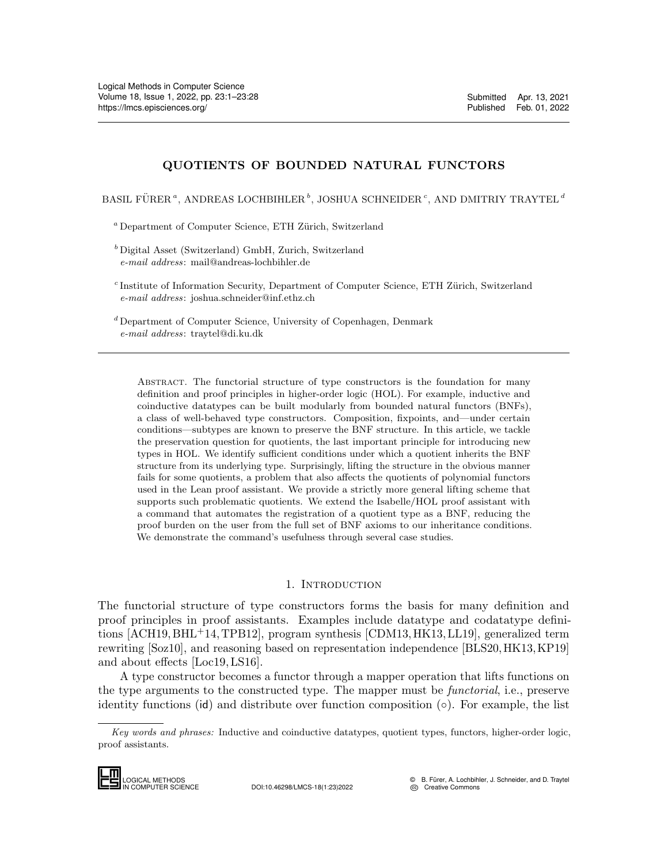# QUOTIENTS OF BOUNDED NATURAL FUNCTORS

BASIL FÜRER<sup> $a$ </sup>, ANDREAS LOCHBIHLER<sup>b</sup>, JOSHUA SCHNEIDER<sup>c</sup>, AND DMITRIY TRAYTEL<sup>d</sup>

 $^a$  Department of Computer Science, ETH Zürich, Switzerland

<sup>b</sup> Digital Asset (Switzerland) GmbH, Zurich, Switzerland e-mail address: mail@andreas-lochbihler.de

<sup>c</sup> Institute of Information Security, Department of Computer Science, ETH Zürich, Switzerland e-mail address: joshua.schneider@inf.ethz.ch

<sup>d</sup> Department of Computer Science, University of Copenhagen, Denmark e-mail address: traytel@di.ku.dk

Abstract. The functorial structure of type constructors is the foundation for many definition and proof principles in higher-order logic (HOL). For example, inductive and coinductive datatypes can be built modularly from bounded natural functors (BNFs), a class of well-behaved type constructors. Composition, fixpoints, and—under certain conditions—subtypes are known to preserve the BNF structure. In this article, we tackle the preservation question for quotients, the last important principle for introducing new types in HOL. We identify sufficient conditions under which a quotient inherits the BNF structure from its underlying type. Surprisingly, lifting the structure in the obvious manner fails for some quotients, a problem that also affects the quotients of polynomial functors used in the Lean proof assistant. We provide a strictly more general lifting scheme that supports such problematic quotients. We extend the Isabelle/HOL proof assistant with a command that automates the registration of a quotient type as a BNF, reducing the proof burden on the user from the full set of BNF axioms to our inheritance conditions. We demonstrate the command's usefulness through several case studies.

## 1. INTRODUCTION

The functorial structure of type constructors forms the basis for many definition and proof principles in proof assistants. Examples include datatype and codatatype definitions [\[ACH19,](#page-25-0) [BHL](#page-25-1)+14, [TPB12\]](#page-26-0), program synthesis [\[CDM13,](#page-25-2) [HK13,](#page-25-3) [LL19\]](#page-26-1), generalized term rewriting [\[Soz10\]](#page-26-2), and reasoning based on representation independence [\[BLS20,](#page-25-4)[HK13,](#page-25-3)[KP19\]](#page-26-3) and about effects [\[Loc19,](#page-26-4) [LS16\]](#page-26-5).

A type constructor becomes a functor through a mapper operation that lifts functions on the type arguments to the constructed type. The mapper must be *functorial*, i.e., preserve identity functions (id) and distribute over function composition  $(\circ)$ . For example, the list Fourthing [BO210];<br>and about effects<br>A type constitute the type argume:<br>identity function<br> $\frac{Key words and p}{\text{proof}\text{assistants.}}$ 

Key words and phrases: Inductive and coinductive datatypes, quotient types, functors, higher-order logic, proof assistants.

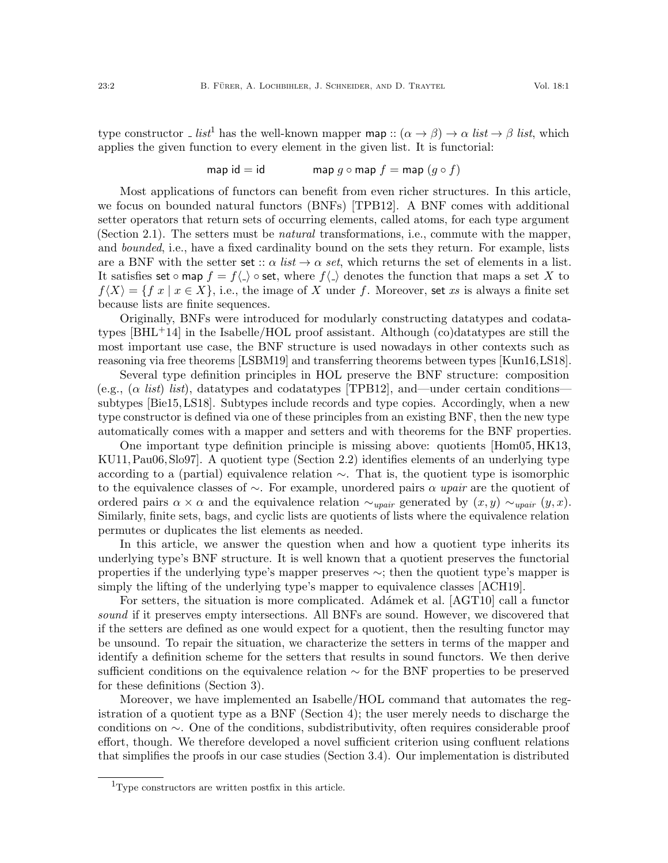type constructor List<sup>[1](#page-1-0)</sup> has the well-known mapper map ::  $(\alpha \to \beta) \to \alpha$  list  $\to \beta$  list, which applies the given function to every element in the given list. It is functorial:

$$
\mathsf{map} \ \mathsf{id} = \mathsf{id} \qquad \qquad \mathsf{map} \ \ g \circ \mathsf{map} \ f = \mathsf{map} \ (g \circ f)
$$

Most applications of functors can benefit from even richer structures. In this article, we focus on bounded natural functors (BNFs) [\[TPB12\]](#page-26-0). A BNF comes with additional setter operators that return sets of occurring elements, called atoms, for each type argument (Section [2.1\)](#page-4-0). The setters must be natural transformations, i.e., commute with the mapper, and *bounded*, i.e., have a fixed cardinality bound on the sets they return. For example, lists are a BNF with the setter set  $:: \alpha$  list  $\rightarrow \alpha$  set, which returns the set of elements in a list. It satisfies set ∘ map  $f = f\langle \cdot \rangle$  ∘ set, where  $f\langle \cdot \rangle$  denotes the function that maps a set X to  $f\langle X\rangle = \{f \: x \mid x \in X\}$ , i.e., the image of X under f. Moreover, set xs is always a finite set because lists are finite sequences.

Originally, BNFs were introduced for modularly constructing datatypes and codatatypes [\[BHL](#page-25-1)+14] in the Isabelle/HOL proof assistant. Although (co)datatypes are still the most important use case, the BNF structure is used nowadays in other contexts such as reasoning via free theorems [\[LSBM19\]](#page-26-6) and transferring theorems between types [\[Kun16,](#page-26-7)[LS18\]](#page-26-8).

Several type definition principles in HOL preserve the BNF structure: composition (e.g.,  $(\alpha \text{ list})$  list), datatypes and codatatypes [\[TPB12\]](#page-26-0), and—under certain conditions subtypes [\[Bie15,](#page-25-5) [LS18\]](#page-26-8). Subtypes include records and type copies. Accordingly, when a new type constructor is defined via one of these principles from an existing BNF, then the new type automatically comes with a mapper and setters and with theorems for the BNF properties.

One important type definition principle is missing above: quotients [\[Hom05,](#page-26-9) [HK13,](#page-25-3) [KU11,](#page-26-10)[Pau06,](#page-26-11) [Slo97\]](#page-26-12). A quotient type (Section [2.2\)](#page-5-0) identifies elements of an underlying type according to a (partial) equivalence relation ∼. That is, the quotient type is isomorphic to the equivalence classes of  $\sim$ . For example, unordered pairs  $\alpha$  upair are the quotient of ordered pairs  $\alpha \times \alpha$  and the equivalence relation  $\sim_{upair}$  generated by  $(x, y) \sim_{upair} (y, x)$ . Similarly, finite sets, bags, and cyclic lists are quotients of lists where the equivalence relation permutes or duplicates the list elements as needed.

In this article, we answer the question when and how a quotient type inherits its underlying type's BNF structure. It is well known that a quotient preserves the functorial properties if the underlying type's mapper preserves ∼; then the quotient type's mapper is simply the lifting of the underlying type's mapper to equivalence classes [\[ACH19\]](#page-25-0).

For setters, the situation is more complicated. Adámek et al. [\[AGT10\]](#page-25-6) call a functor sound if it preserves empty intersections. All BNFs are sound. However, we discovered that if the setters are defined as one would expect for a quotient, then the resulting functor may be unsound. To repair the situation, we characterize the setters in terms of the mapper and identify a definition scheme for the setters that results in sound functors. We then derive sufficient conditions on the equivalence relation ∼ for the BNF properties to be preserved for these definitions (Section [3\)](#page-6-0).

Moreover, we have implemented an Isabelle/HOL command that automates the registration of a quotient type as a BNF (Section [4\)](#page-20-0); the user merely needs to discharge the conditions on ∼. One of the conditions, subdistributivity, often requires considerable proof effort, though. We therefore developed a novel sufficient criterion using confluent relations that simplifies the proofs in our case studies (Section [3.4\)](#page-15-0). Our implementation is distributed

<span id="page-1-0"></span><sup>1</sup>Type constructors are written postfix in this article.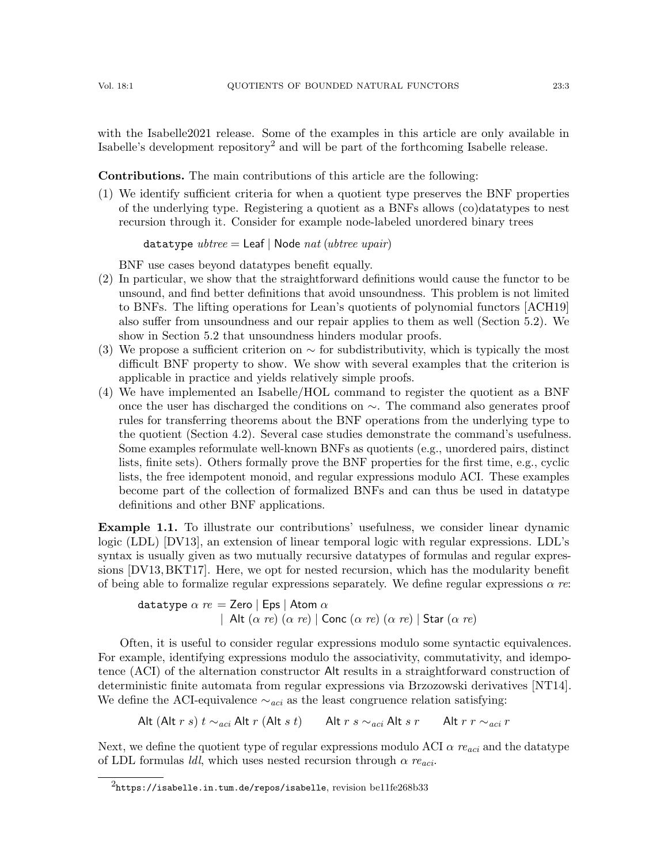with the Isabelle2021 release. Some of the examples in this article are only available in Isabelle's development repository<sup>[2](#page-2-0)</sup> and will be part of the forthcoming Isabelle release.

Contributions. The main contributions of this article are the following:

(1) We identify sufficient criteria for when a quotient type preserves the BNF properties of the underlying type. Registering a quotient as a BNFs allows (co)datatypes to nest recursion through it. Consider for example node-labeled unordered binary trees

datatype  $\textit{ubtree} = \text{Leaf} \mid \text{Node} \textit{nat} \text{ (ubtree } \textit{upair})$ 

BNF use cases beyond datatypes benefit equally.

- (2) In particular, we show that the straightforward definitions would cause the functor to be unsound, and find better definitions that avoid unsoundness. This problem is not limited to BNFs. The lifting operations for Lean's quotients of polynomial functors [\[ACH19\]](#page-25-0) also suffer from unsoundness and our repair applies to them as well (Section [5.2\)](#page-23-0). We show in Section [5.2](#page-23-0) that unsoundness hinders modular proofs.
- (3) We propose a sufficient criterion on  $\sim$  for subdistributivity, which is typically the most difficult BNF property to show. We show with several examples that the criterion is applicable in practice and yields relatively simple proofs.
- (4) We have implemented an Isabelle/HOL command to register the quotient as a BNF once the user has discharged the conditions on ∼. The command also generates proof rules for transferring theorems about the BNF operations from the underlying type to the quotient (Section [4.2\)](#page-21-0). Several case studies demonstrate the command's usefulness. Some examples reformulate well-known BNFs as quotients (e.g., unordered pairs, distinct lists, finite sets). Others formally prove the BNF properties for the first time, e.g., cyclic lists, the free idempotent monoid, and regular expressions modulo ACI. These examples become part of the collection of formalized BNFs and can thus be used in datatype definitions and other BNF applications.

<span id="page-2-1"></span>Example 1.1. To illustrate our contributions' usefulness, we consider linear dynamic logic (LDL) [\[DV13\]](#page-25-7), an extension of linear temporal logic with regular expressions. LDL's syntax is usually given as two mutually recursive datatypes of formulas and regular expressions [\[DV13,](#page-25-7) [BKT17\]](#page-25-8). Here, we opt for nested recursion, which has the modularity benefit of being able to formalize regular expressions separately. We define regular expressions  $\alpha$  re:

datatype  $\alpha$   $re =$  Zero | Eps | Atom  $\alpha$ | Alt  $(\alpha \text{ re}) (\alpha \text{ re})$  | Conc  $(\alpha \text{ re}) (\alpha \text{ re})$  | Star  $(\alpha \text{ re})$ 

Often, it is useful to consider regular expressions modulo some syntactic equivalences. For example, identifying expressions modulo the associativity, commutativity, and idempotence (ACI) of the alternation constructor Alt results in a straightforward construction of deterministic finite automata from regular expressions via Brzozowski derivatives [\[NT14\]](#page-26-13). We define the ACI-equivalence  $\sim_{aci}$  as the least congruence relation satisfying:

Alt (Alt r s) t  $\sim_{aci}$  Alt r (Alt s t) Alt r s  $\sim_{aci}$  Alt s r Alt r r  $\sim_{aci}$  r

Next, we define the quotient type of regular expressions modulo ACI  $\alpha$  re<sub>aci</sub> and the datatype of LDL formulas *ldl*, which uses nested recursion through  $\alpha$  re<sub>aci</sub>.

<span id="page-2-0"></span> $2$ <https://isabelle.in.tum.de/repos/isabelle>, revision be11fe268b33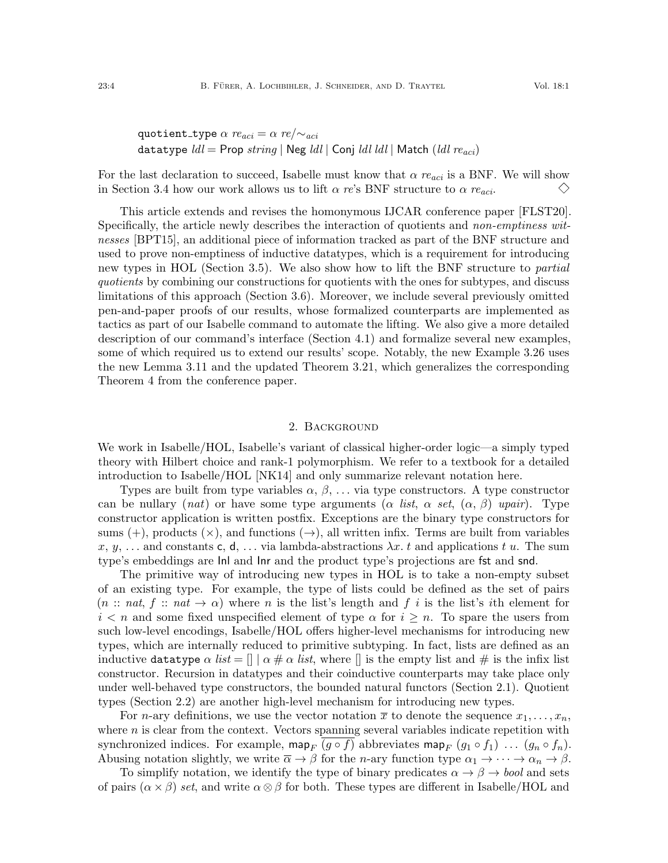quotient\_type 
$$
\alpha \text{ } re_{aci} = \alpha \text{ } re/\sim_{aci}
$$
  
datatype  $ldl = \text{Prop string} | \text{Neg } ldl | \text{Conj } ldl \text{ } ldl | \text{Match } (ldl \text{ } re_{aci})$ 

For the last declaration to succeed, Isabelle must know that  $\alpha$  re<sub>aci</sub> is a BNF. We will show  $\diamondsuit$ in Section [3.4](#page-15-0) how our work allows us to lift  $\alpha$  re's BNF structure to  $\alpha$  re<sub>aci</sub>.

This article extends and revises the homonymous IJCAR conference paper [\[FLST20\]](#page-25-9). Specifically, the article newly describes the interaction of quotients and *non-emptiness wit*nesses [\[BPT15\]](#page-25-10), an additional piece of information tracked as part of the BNF structure and used to prove non-emptiness of inductive datatypes, which is a requirement for introducing new types in HOL (Section [3.5\)](#page-18-0). We also show how to lift the BNF structure to *partial* quotients by combining our constructions for quotients with the ones for subtypes, and discuss limitations of this approach (Section [3.6\)](#page-19-0). Moreover, we include several previously omitted pen-and-paper proofs of our results, whose formalized counterparts are implemented as tactics as part of our Isabelle command to automate the lifting. We also give a more detailed description of our command's interface (Section [4.1\)](#page-20-1) and formalize several new examples, some of which required us to extend our results' scope. Notably, the new Example [3.26](#page-17-0) uses the new Lemma [3.11](#page-11-0) and the updated Theorem [3.21,](#page-15-1) which generalizes the corresponding Theorem 4 from the conference paper.

# 2. Background

We work in Isabelle/HOL, Isabelle's variant of classical higher-order logic—a simply typed theory with Hilbert choice and rank-1 polymorphism. We refer to a textbook for a detailed introduction to Isabelle/HOL [\[NK14\]](#page-26-14) and only summarize relevant notation here.

Types are built from type variables  $\alpha, \beta, \ldots$  via type constructors. A type constructor can be nullary (nat) or have some type arguments ( $\alpha$  list,  $\alpha$  set,  $(\alpha, \beta)$  upair). Type constructor application is written postfix. Exceptions are the binary type constructors for sums (+), products  $(\times)$ , and functions  $(\rightarrow)$ , all written infix. Terms are built from variables x, y, ... and constants c, d, ... via lambda-abstractions  $\lambda x$ . t and applications t u. The sum type's embeddings are Inl and Inr and the product type's projections are fst and snd.

The primitive way of introducing new types in HOL is to take a non-empty subset of an existing type. For example, the type of lists could be defined as the set of pairs  $(n:: nat, f::nat \rightarrow \alpha)$  where n is the list's length and f i is the list's ith element for  $i \leq n$  and some fixed unspecified element of type  $\alpha$  for  $i \geq n$ . To spare the users from such low-level encodings, Isabelle/HOL offers higher-level mechanisms for introducing new types, which are internally reduced to primitive subtyping. In fact, lists are defined as an inductive datatype  $\alpha$  list =  $\|\alpha \neq \alpha$  list, where  $\|\$ is the empty list and  $\#$  is the infix list constructor. Recursion in datatypes and their coinductive counterparts may take place only under well-behaved type constructors, the bounded natural functors (Section [2.1\)](#page-4-0). Quotient types (Section [2.2\)](#page-5-0) are another high-level mechanism for introducing new types.

For *n*-ary definitions, we use the vector notation  $\bar{x}$  to denote the sequence  $x_1, \ldots, x_n$ , where  $n$  is clear from the context. Vectors spanning several variables indicate repetition with synchronized indices. For example, map<sub>F</sub>  $(g \circ f)$  abbreviates map<sub>F</sub>  $(g_1 \circ f_1)$  ...  $(g_n \circ f_n)$ . Abusing notation slightly, we write  $\overline{\alpha} \to \beta$  for the *n*-ary function type  $\alpha_1 \to \cdots \to \alpha_n \to \beta$ .

To simplify notation, we identify the type of binary predicates  $\alpha \to \beta \to \text{bool}$  and sets of pairs  $(\alpha \times \beta)$  set, and write  $\alpha \otimes \beta$  for both. These types are different in Isabelle/HOL and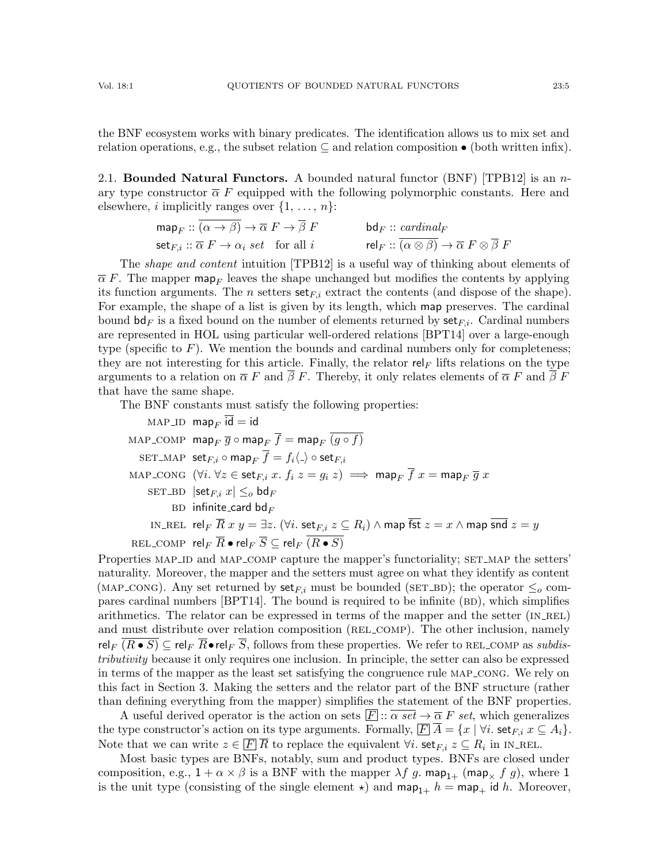the BNF ecosystem works with binary predicates. The identification allows us to mix set and relation operations, e.g., the subset relation  $\subseteq$  and relation composition  $\bullet$  (both written infix).

<span id="page-4-0"></span>2.1. Bounded Natural Functors. A bounded natural functor  $(BNF)$  [\[TPB12\]](#page-26-0) is an nary type constructor  $\overline{\alpha} F$  equipped with the following polymorphic constants. Here and elsewhere, *i* implicitly ranges over  $\{1, \ldots, n\}$ :

$$
\mathsf{map}_F :: \overline{(\alpha \to \beta)} \to \overline{\alpha} \ F \to \overline{\beta} \ F \qquad \qquad \mathsf{bd}_F :: \underline{\mathit{cardinal}_F} \\ \mathsf{set}_{F,i} :: \overline{\alpha} \ F \to \alpha_i \ \mathit{set} \quad \text{for all } i \qquad \qquad \mathsf{rel}_F :: \overline{(\alpha \otimes \beta)} \to \overline{\alpha} \ F \otimes \overline{\beta} \ F
$$

The shape and content intuition [\[TPB12\]](#page-26-0) is a useful way of thinking about elements of  $\overline{\alpha}$  F. The mapper map<sub>F</sub> leaves the shape unchanged but modifies the contents by applying its function arguments. The *n* setters  $set_{F,i}$  extract the contents (and dispose of the shape). For example, the shape of a list is given by its length, which map preserves. The cardinal bound  $\mathsf{bd}_F$  is a fixed bound on the number of elements returned by  $\mathsf{set}_{F,i}$ . Cardinal numbers are represented in HOL using particular well-ordered relations [\[BPT14\]](#page-25-11) over a large-enough type (specific to  $F$ ). We mention the bounds and cardinal numbers only for completeness; they are not interesting for this article. Finally, the relator rel<sub>F</sub> lifts relations on the type arguments to a relation on  $\overline{\alpha} F$  and  $\overline{\beta} F$ . Thereby, it only relates elements of  $\overline{\alpha} F$  and  $\overline{\beta} F$ that have the same shape.

The BNF constants must satisfy the following properties:

MAP-ID 
$$
\operatorname{map}_F \overline{\operatorname{id}} = \operatorname{id}
$$
  
\nMAP-COMP  $\operatorname{map}_F \overline{g} \circ \operatorname{map}_F \overline{f} = \operatorname{map}_F \overline{(g \circ f)}$   
\nSET-MAP  $\operatorname{set}_{F,i} \circ \operatorname{map}_F \overline{f} = f_i \langle \cdot \rangle \circ \operatorname{set}_{F,i}$   
\nMAP-CONG  $(\forall i. \forall z \in \operatorname{set}_{F,i} x. f_i z = g_i z) \implies \operatorname{map}_F \overline{f} x = \operatorname{map}_F \overline{g} x$   
\nSET-BD  $|\operatorname{set}_{F,i} x| \leq_o \operatorname{bd}_F$   
\nBD infinite-card  $\operatorname{bd}_F$   
\nIN\_CEL  $\operatorname{rel}_F \overline{R} x y = \exists z. (\forall i. \operatorname{set}_{F,i} z \subseteq R_i) \land \operatorname{map} \overline{f} x = x \land \operatorname{map} \overline{f} x = y$   
\nREL-COMP  $\operatorname{rel}_F \overline{R} \bullet \operatorname{rel}_F \overline{S} \subseteq \operatorname{rel}_F \overline{(R \bullet S)}$ 

Properties MAP\_ID and MAP\_COMP capture the mapper's functoriality; SET\_MAP the setters' naturality. Moreover, the mapper and the setters must agree on what they identify as content (MAP\_CONG). Any set returned by  $set_{F,i}$  must be bounded (SET\_BD); the operator  $\leq_o$  compares cardinal numbers  $[BPT14]$ . The bound is required to be infinite  $(BD)$ , which simplifies arithmetics. The relator can be expressed in terms of the mapper and the setter  $(IN_{REL})$ and must distribute over relation composition (REL\_COMP). The other inclusion, namely rel<sub>F</sub>  $(R \bullet S)$   $\subseteq$  rel<sub>F</sub>  $\overline{R} \bullet$  rel<sub>F</sub>  $\overline{S}$ , follows from these properties. We refer to REL\_COMP as *subdis*tributivity because it only requires one inclusion. In principle, the setter can also be expressed in terms of the mapper as the least set satisfying the congruence rule map cong. We rely on this fact in Section [3.](#page-6-0) Making the setters and the relator part of the BNF structure (rather than defining everything from the mapper) simplifies the statement of the BNF properties.

A useful derived operator is the action on sets  $\overline{F}$ :  $\overline{\alpha}$  set  $\rightarrow \overline{\alpha}$  F set, which generalizes the type constructor's action on its type arguments. Formally,  $\boxed{F} A = \{x \mid \forall i. \text{ set }_{F,i} x \subseteq A_i\}.$ Note that we can write  $z \in \overline{F}$   $\overline{R}$  to replace the equivalent  $\forall i$ . set<sub> $F, i$ </sub>  $z \subseteq R_i$  in IN\_REL.

Most basic types are BNFs, notably, sum and product types. BNFs are closed under composition, e.g.,  $1 + \alpha \times \beta$  is a BNF with the mapper  $\lambda f$  g. map<sub>1+</sub> (map<sub>x</sub> f g), where 1 is the unit type (consisting of the single element  $\star$ ) and map<sub>1+</sub> h = map<sub>+</sub> id h. Moreover,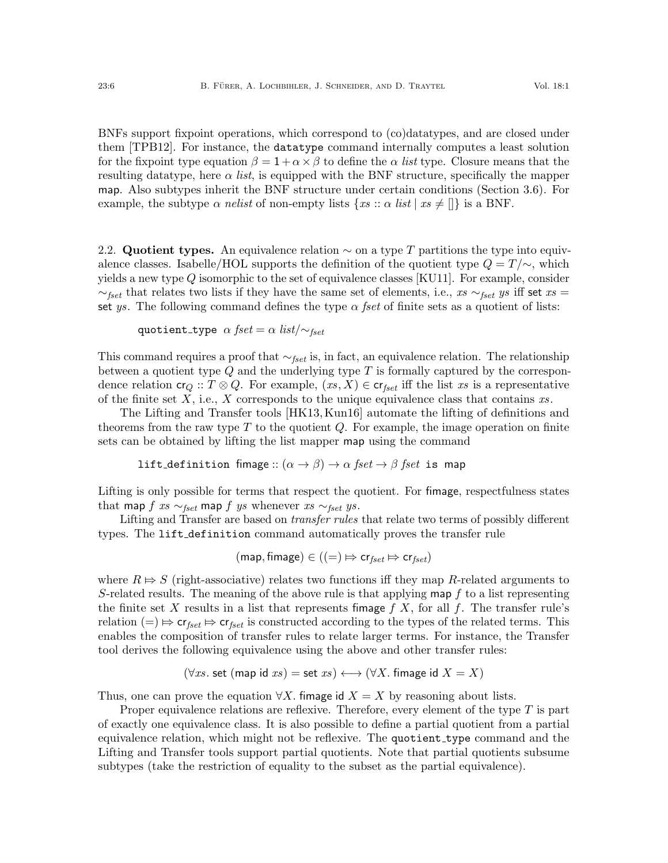BNFs support fixpoint operations, which correspond to (co)datatypes, and are closed under them [\[TPB12\]](#page-26-0). For instance, the datatype command internally computes a least solution for the fixpoint type equation  $\beta = 1 + \alpha \times \beta$  to define the  $\alpha$  list type. Closure means that the resulting datatype, here  $\alpha$  *list*, is equipped with the BNF structure, specifically the mapper map. Also subtypes inherit the BNF structure under certain conditions (Section [3.6\)](#page-19-0). For example, the subtype  $\alpha$  nelist of non-empty lists  $\{xs : \alpha \text{ list } | \text{ xs } \neq [] \}$  is a BNF.

<span id="page-5-0"></span>2.2. Quotient types. An equivalence relation  $\sim$  on a type T partitions the type into equivalence classes. Isabelle/HOL supports the definition of the quotient type  $Q = T/\sim$ , which yields a new type  $Q$  isomorphic to the set of equivalence classes [\[KU11\]](#page-26-10). For example, consider  $\sim_{fset}$  that relates two lists if they have the same set of elements, i.e., xs  $\sim_{fset}$  ys iff set xs = set ys. The following command defines the type  $\alpha$  fset of finite sets as a quotient of lists:

quotient\_type  $\alpha$  fset =  $\alpha$  list/ $\sim$ fset

This command requires a proof that  $\sim_{fset}$  is, in fact, an equivalence relation. The relationship between a quotient type  $Q$  and the underlying type  $T$  is formally captured by the correspondence relation  $cr_Q :: T \otimes Q$ . For example,  $(xs, X) \in cr_{fset}$  iff the list xs is a representative of the finite set  $X$ , i.e.,  $X$  corresponds to the unique equivalence class that contains  $xs$ .

The Lifting and Transfer tools [\[HK13,](#page-25-3) [Kun16\]](#page-26-7) automate the lifting of definitions and theorems from the raw type  $T$  to the quotient  $Q$ . For example, the image operation on finite sets can be obtained by lifting the list mapper map using the command

lift\_definition fimage::  $(\alpha \to \beta) \to \alpha$  fset  $\to \beta$  fset is map

Lifting is only possible for terms that respect the quotient. For fimage, respectfulness states that map  $f$  xs  $\sim_{fset}$  map  $f$  ys whenever xs  $\sim_{fset}$  ys.

Lifting and Transfer are based on *transfer rules* that relate two terms of possibly different types. The lift definition command automatically proves the transfer rule

$$
(\mathsf{map}, \mathsf{fimage}) \in ((=) \Rightarrow \mathsf{cr}_{fset} \Rightarrow \mathsf{cr}_{fset})
$$

where  $R \Rightarrow S$  (right-associative) relates two functions iff they map R-related arguments to S-related results. The meaning of the above rule is that applying map  $f$  to a list representing the finite set X results in a list that represents fimage  $f(X)$ , for all f. The transfer rule's relation  $(=) \Rightarrow \mathsf{cr}_{\textit{fset}} \Rightarrow \mathsf{cr}_{\textit{fset}}$  is constructed according to the types of the related terms. This enables the composition of transfer rules to relate larger terms. For instance, the Transfer tool derives the following equivalence using the above and other transfer rules:

$$
(\forall xs. set (map id xs) = set xs) \longleftrightarrow (\forall X. frame id X = X)
$$

Thus, one can prove the equation  $\forall X$ . fimage id  $X = X$  by reasoning about lists.

Proper equivalence relations are reflexive. Therefore, every element of the type  $T$  is part of exactly one equivalence class. It is also possible to define a partial quotient from a partial equivalence relation, which might not be reflexive. The quotient type command and the Lifting and Transfer tools support partial quotients. Note that partial quotients subsume subtypes (take the restriction of equality to the subset as the partial equivalence).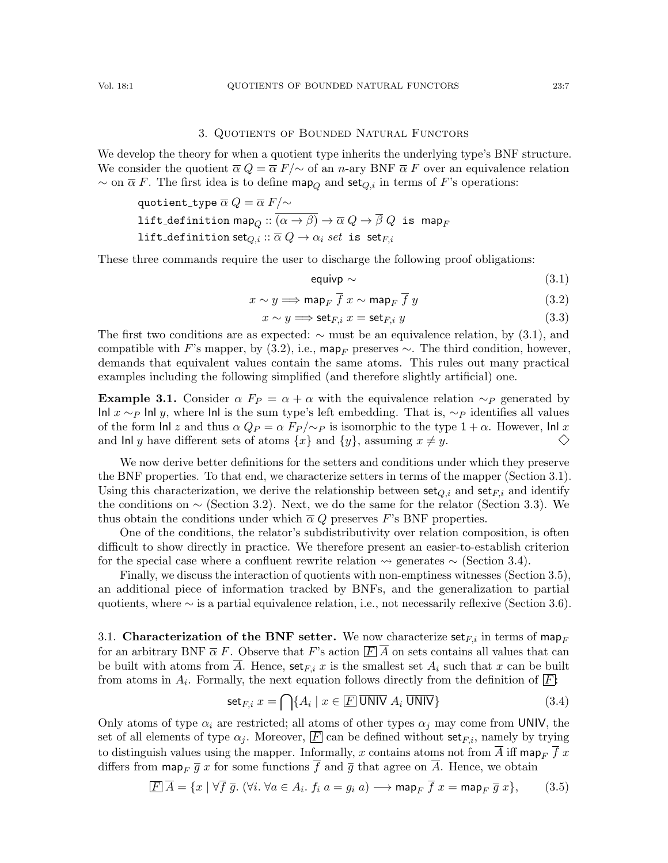### 3. Quotients of Bounded Natural Functors

<span id="page-6-0"></span>We develop the theory for when a quotient type inherits the underlying type's BNF structure. We consider the quotient  $\overline{\alpha} Q = \overline{\alpha} F/\sim$  of an n-ary BNF  $\overline{\alpha} F$  over an equivalence relation  $\sim$  on  $\overline{\alpha}$  F. The first idea is to define map<sub>Q</sub> and set<sub>Q,i</sub> in terms of F's operations:

$$
\begin{aligned}\text{quotient\_type} \ \overline{\alpha} \ Q &= \overline{\alpha} \ F/\!\!\sim \\
\text{lift\_definition map}_Q &:: \overline{(\alpha \to \beta)} \to \overline{\alpha} \ Q \to \overline{\beta} \ Q \ \text{ is map}_F \\
\text{lift\_definition set}_{Q,i} &:: \overline{\alpha} \ Q \to \alpha_i \ set \ \text{is set}_{F,i}\n\end{aligned}
$$

These three commands require the user to discharge the following proof obligations:

<span id="page-6-1"></span>
$$
equivp \sim (3.1)
$$

<span id="page-6-2"></span>
$$
x \sim y \Longrightarrow \text{map}_F \overline{f} \ x \sim \text{map}_F \overline{f} \ y \tag{3.2}
$$

<span id="page-6-7"></span>
$$
x \sim y \Longrightarrow \text{set}_{F,i} \ x = \text{set}_{F,i} \ y \tag{3.3}
$$

The first two conditions are as expected:  $\sim$  must be an equivalence relation, by [\(3.1\)](#page-6-1), and compatible with F's mapper, by [\(3.2\)](#page-6-2), i.e., map<sub>F</sub> preserves  $\sim$ . The third condition, however, demands that equivalent values contain the same atoms. This rules out many practical examples including the following simplified (and therefore slightly artificial) one.

<span id="page-6-6"></span>**Example 3.1.** Consider  $\alpha$  F<sub>P</sub> =  $\alpha + \alpha$  with the equivalence relation  $\sim_P$  generated by Inl x ∼P Inl y, where Inl is the sum type's left embedding. That is,  $\sim_P$  identifies all values of the form Inl z and thus  $\alpha Q_P = \alpha F_P / \sim_P$  is isomorphic to the type  $1 + \alpha$ . However, Inl x  $\diamondsuit$ and lnl y have different sets of atoms  $\{x\}$  and  $\{y\}$ , assuming  $x \neq y$ .

We now derive better definitions for the setters and conditions under which they preserve the BNF properties. To that end, we characterize setters in terms of the mapper (Section [3.1\)](#page-6-3). Using this characterization, we derive the relationship between set $_{Q,i}$  and set $_{F,i}$  and identify the conditions on  $\sim$  (Section [3.2\)](#page-7-0). Next, we do the same for the relator (Section [3.3\)](#page-12-0). We thus obtain the conditions under which  $\overline{\alpha} Q$  preserves F's BNF properties.

One of the conditions, the relator's subdistributivity over relation composition, is often difficult to show directly in practice. We therefore present an easier-to-establish criterion for the special case where a confluent rewrite relation  $\rightsquigarrow$  generates  $\sim$  (Section [3.4\)](#page-15-0).

Finally, we discuss the interaction of quotients with non-emptiness witnesses (Section [3.5\)](#page-18-0), an additional piece of information tracked by BNFs, and the generalization to partial quotients, where ∼ is a partial equivalence relation, i.e., not necessarily reflexive (Section [3.6\)](#page-19-0).

<span id="page-6-3"></span>3.1. Characterization of the BNF setter. We now characterize set<sub>Fi</sub> in terms of map<sub>F</sub> for an arbitrary BNF  $\overline{\alpha}$  F. Observe that F's action  $\boxed{F}$  A on sets contains all values that can be built with atoms from  $\overline{A}$ . Hence,  $\textsf{set}_{F,i} x$  is the smallest set  $A_i$  such that x can be built from atoms in  $A_i$ . Formally, the next equation follows directly from the definition of  $\boxed{F}$ :

<span id="page-6-4"></span>
$$
\text{set}_{F,i} \ x = \bigcap \{ A_i \mid x \in \boxed{F} \ \overline{\text{UNIV}} \ A_i \ \overline{\text{UNIV}} \}
$$
\n
$$
(3.4)
$$

Only atoms of type  $\alpha_i$  are restricted; all atoms of other types  $\alpha_j$  may come from UNIV, the set of all elements of type  $\alpha_j$ . Moreover,  $\boxed{F}$  can be defined without set<sub>F,i</sub>, namely by trying to distinguish values using the mapper. Informally, x contains atoms not from  $\overline{A}$  iff map<sub>F</sub>  $\overline{f}$  x differs from  $\max_{F} \overline{g} x$  for some functions  $\overline{f}$  and  $\overline{g}$  that agree on  $\overline{A}$ . Hence, we obtain

<span id="page-6-5"></span>
$$
\boxed{F}\ \overline{A} = \{x \mid \forall \overline{f} \ \overline{g}. \ (\forall i. \ \forall a \in A_i. \ f_i \ a = g_i \ a) \longrightarrow \text{map}_F \ \overline{f} \ x = \text{map}_F \ \overline{g} \ x \}, \tag{3.5}
$$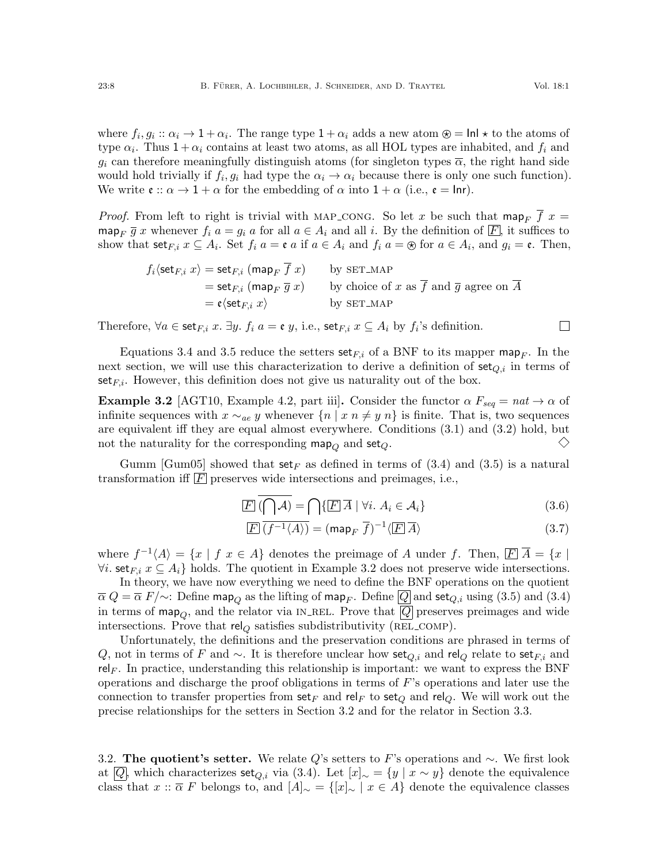where  $f_i, g_i :: \alpha_i \to 1 + \alpha_i$ . The range type  $1 + \alpha_i$  adds a new atom  $\circledast = \textsf{Inl} \star$  to the atoms of type  $\alpha_i$ . Thus  $1 + \alpha_i$  contains at least two atoms, as all HOL types are inhabited, and  $f_i$  and  $g_i$  can therefore meaningfully distinguish atoms (for singleton types  $\overline{\alpha}$ , the right hand side would hold trivially if  $f_i, g_i$  had type the  $\alpha_i \to \alpha_i$  because there is only one such function). We write  $\mathfrak{e} :: \alpha \to 1 + \alpha$  for the embedding of  $\alpha$  into  $1 + \alpha$  (i.e.,  $\mathfrak{e} = \text{Inr}$ ).

*Proof.* From left to right is trivial with MAP\_CONG. So let x be such that map<sub>F</sub>  $\overline{f}$  x = map<sub>F</sub>  $\overline{g}$  x whenever  $f_i$   $a = g_i$  a for all  $a \in A_i$  and all i. By the definition of  $\overline{F}$ , it suffices to show that  $\text{set}_{F,i}$   $x \subseteq A_i$ . Set  $f_i$   $a = \mathfrak{e}$  a if  $a \in A_i$  and  $f_i$   $a = \circledast$  for  $a \in A_i$ , and  $g_i = \mathfrak{e}$ . Then,

$$
f_i \langle \text{set}_{F,i} x \rangle = \text{set}_{F,i} \; (\text{map}_F \; \overline{f} \; x) \qquad \text{by SET\_MAP}
$$
  
= 
$$
\text{set}_{F,i} \; (\text{map}_F \; \overline{g} \; x) \qquad \text{by choice of } x \text{ as } \overline{f} \text{ and } \overline{g} \text{ agree on } \overline{A}
$$
  
= 
$$
\mathfrak{e} \langle \text{set}_{F,i} \; x \rangle \qquad \qquad \text{by SET\_MAP}
$$

Therefore,  $\forall a \in \text{set}_{F,i}$  x.  $\exists y.$   $f_i$   $a = \mathfrak{e}$  y, i.e.,  $\text{set}_{F,i}$   $x \subseteq A_i$  by  $f_i$ 's definition.

Equations [3.4](#page-6-4) and [3.5](#page-6-5) reduce the setters  $set_{F,i}$  of a BNF to its mapper map<sub>F</sub>. In the next section, we will use this characterization to derive a definition of  $set_{Q,i}$  in terms of set<sub>F,i</sub>. However, this definition does not give us naturality out of the box.

<span id="page-7-1"></span>**Example 3.2** [\[AGT10,](#page-25-6) Example 4.2, part iii]. Consider the functor  $\alpha F_{seq} = nat \rightarrow \alpha$  of infinite sequences with  $x \sim_{ae} y$  whenever  $\{n \mid x \in \mathbb{R} \mid y \in \mathbb{R}\}$  is finite. That is, two sequences are equivalent iff they are equal almost everywhere. Conditions [\(3.1\)](#page-6-1) and [\(3.2\)](#page-6-2) hold, but  $\diamondsuit$ not the naturality for the corresponding map<sub>Q</sub> and set<sub>Q</sub>.

Gumm [\[Gum05\]](#page-25-12) showed that  $set_F$  as defined in terms of [\(3.4\)](#page-6-4) and [\(3.5\)](#page-6-5) is a natural transformation iff  $\overline{F}$  preserves wide intersections and preimages, i.e.,

$$
\boxed{F}(\bigcap \mathcal{A}) = \bigcap \{ \boxed{F} \ \overline{A} \ | \ \forall i. \ A_i \in \mathcal{A}_i \} \tag{3.6}
$$

$$
\overline{F} \overline{(f^{-1} \langle A \rangle)} = (\text{map}_F \overline{f})^{-1} \langle \overline{F} \overline{A} \rangle \tag{3.7}
$$

where  $f^{-1}(A) = \{x \mid f \ x \in A\}$  denotes the preimage of A under f. Then,  $\boxed{F} \ \overline{A} = \{x \mid f \ x \in A\}$  $\forall i.$  set $_{F,i} x \subseteq A_i$  holds. The quotient in Example [3.2](#page-7-1) does not preserve wide intersections.

In theory, we have now everything we need to define the BNF operations on the quotient  $\overline{\alpha} Q = \overline{\alpha} F/\sim$ : Define map<sub>Q</sub> as the lifting of map<sub>F</sub>. Define  $\overline{Q}$  and set<sub>Q,i</sub> using [\(3.5\)](#page-6-5) and [\(3.4\)](#page-6-4) in terms of map<sub>O</sub>, and the relator via IN\_REL. Prove that  $|Q|$  preserves preimages and wide intersections. Prove that  $rel_Q$  satisfies subdistributivity (REL\_COMP).

Unfortunately, the definitions and the preservation conditions are phrased in terms of Q, not in terms of F and  $\sim$ . It is therefore unclear how set<sub>Q,i</sub> and rel<sub>Q</sub> relate to set<sub>Fi</sub> and rel<sub>F</sub>. In practice, understanding this relationship is important: we want to express the BNF operations and discharge the proof obligations in terms of F's operations and later use the connection to transfer properties from set<sub>F</sub> and rel<sub>F</sub> to set<sub>Q</sub> and rel<sub>Q</sub>. We will work out the precise relationships for the setters in Section [3.2](#page-7-0) and for the relator in Section [3.3.](#page-12-0)

<span id="page-7-0"></span>3.2. The quotient's setter. We relate Q's setters to F's operations and  $\sim$ . We first look at  $\overline{Q}$ , which characterizes set<sub>Q,i</sub> via [\(3.4\)](#page-6-4). Let  $[x]_{\sim} = \{y \mid x \sim y\}$  denote the equivalence class that  $x :: \overline{\alpha} F$  belongs to, and  $[A]_{\sim} = \{ [x]_{\sim} \mid x \in A \}$  denote the equivalence classes

<span id="page-7-3"></span><span id="page-7-2"></span> $\Box$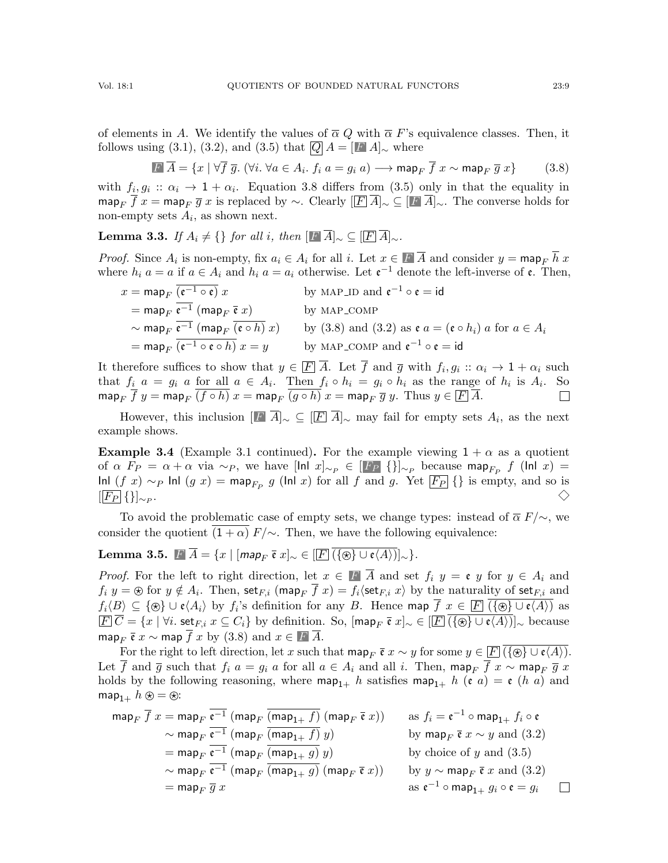of elements in A. We identify the values of  $\overline{\alpha} Q$  with  $\overline{\alpha} F$ 's equivalence classes. Then, it follows using [\(3.1\)](#page-6-1), [\(3.2\)](#page-6-2), and [\(3.5\)](#page-6-5) that  $|Q|A = |F|A|_{\sim}$  where

<span id="page-8-0"></span>
$$
\boxed{F \ \overline{A}} = \{x \mid \forall \overline{f} \ \overline{g}. \ (\forall i. \ \forall a \in A_i. \ f_i \ a = g_i \ a) \longrightarrow \text{map}_F \ \overline{f} \ x \sim \text{map}_F \ \overline{g} \ x \} \tag{3.8}
$$

with  $f_i, g_i :: \alpha_i \to 1 + \alpha_i$ . Equation [3.8](#page-8-0) differs from [\(3.5\)](#page-6-5) only in that the equality in map<sub>F</sub>  $\overline{f}$  x = map<sub>F</sub>  $\overline{g}$  x is replaced by ∼. Clearly  $[\overline{F} \ \overline{A}]_{\sim} \subseteq [\overline{F} \ \overline{A}]_{\sim}$ . The converse holds for non-empty sets  $A_i$ , as shown next.

**Lemma 3.3.** If  $A_i \neq \{\}\$  for all i, then  $[F\ \overline{A}]_{\sim} \subseteq [F\ \overline{A}]_{\sim}$ .

*Proof.* Since  $A_i$  is non-empty, fix  $a_i \in A_i$  for all i. Let  $x \in F$   $\overline{A}$  and consider  $y = \text{map}_F h x$ where  $h_i$   $a = a$  if  $a \in A_i$  and  $h_i$   $a = a_i$  otherwise. Let  $e^{-1}$  denote the left-inverse of  $e$ . Then,

 $x = \mathsf{map}_F$   $\overline{(\mathfrak{e}^{-1} \circ \mathfrak{e})} x$ by MAP\_ID and  $\mathfrak{e}^{-1} \circ \mathfrak{e} = id$ = map<sub>F</sub>  $\overline{e^{-1}}$  (map<sub>F</sub>  $\overline{e}$  x) by MAP\_COMP<br>  $\sim$  map<sub>F</sub>  $\overline{e^{-1}}$  (map<sub>F</sub>  $\overline{(e \circ h)}$  x) by (3.8) and (3) by [\(3.8\)](#page-8-0) and [\(3.2\)](#page-6-2) as  $\mathfrak{e} a = (\mathfrak{e} \circ h_i) a$  for  $a \in A_i$  $=$  map<sub>F</sub>  $\overline{(e^{-1} \circ e \circ h)} x = y$ by MAP\_COMP and  $\mathfrak{e}^{-1} \circ \mathfrak{e} = id$ 

It therefore suffices to show that  $y \in \overline{F}$   $\overline{A}$ . Let f and  $\overline{g}$  with  $f_i, g_i :: \alpha_i \to 1 + \alpha_i$  such that  $f_i$   $a = g_i$  a for all  $a \in A_i$ . Then  $f_i \circ h_i = g_i \circ h_i$  as the range of  $h_i$  is  $A_i$ . So map<sub>F</sub>  $\overline{f}$   $y =$  map<sub>F</sub>  $\overline{(f \circ h)}$   $x =$  map<sub>F</sub>  $\overline{(g \circ h)}$   $x =$  map<sub>F</sub>  $\overline{g}$   $y$ . Thus  $y \in$   $\overline{F}$   $\overline{A}$ .  $\Box$ 

However, this inclusion  $[\Gamma \ \overline{A}]_{\sim} \subseteq [\overline{F} \ \overline{A}]_{\sim}$  may fail for empty sets  $A_i$ , as the next example shows.

<span id="page-8-2"></span>**Example 3.4** (Example [3.1](#page-6-6) continued). For the example viewing  $1 + \alpha$  as a quotient of  $\alpha$   $F_P = \alpha + \alpha$  via  $\sim_P$ , we have  $[\ln |x]_{\sim_P} \in [F_P \{\}]_{\sim_P}$  because map $_{F_P}$  f  $(\ln |x) =$ Inl  $(f x) \sim_P \text{Inl } (g x) = \text{map}_{F_P} g$  (Inl x) for all f and g. Yet  $\overline{F_P}$  {} is empty, and so is  $[F_P \{\}]_{\sim_P}.$  $\diamondsuit$ 

To avoid the problematic case of empty sets, we change types: instead of  $\overline{\alpha} F/\sim$ , we consider the quotient  $(1 + \alpha) F/\sim$ . Then, we have the following equivalence:

<span id="page-8-1"></span>Lemma 3.5.  $F\overline{A} = \{x \mid [map_F \overline{\mathfrak{e}} \ x]_{\sim} \in [F] \overline{(\{\circledast\} \cup \mathfrak{e} \langle A \rangle)}]_{\sim} \}.$ 

*Proof.* For the left to right direction, let  $x \in \mathbb{F}$   $\overline{A}$  and set  $f_i$   $y = \mathfrak{e}$  y for  $y \in A_i$  and  $f_i$   $y = \otimes$  for  $y \notin A_i$ . Then,  $\mathsf{set}_{F,i}$  (map<sub>F</sub>  $f$   $x) = f_i \langle \mathsf{set}_{F,i}$   $x \rangle$  by the naturality of  $\mathsf{set}_{F,i}$  and  $f_i\langle B\rangle\subseteq \{\circledast\}\cup\mathfrak{e}\langle A_i\rangle$  by  $f_i$ 's definition for any  $B.$  Hence  $\textsf{map}\;f\;x\in \overline{F}$   $(\{\circledast\}\cup\mathfrak{e}\langle A\rangle)$  as  $\overline{F} \overline{C} = \{x \mid \forall i. \text{ set } F, i \in C_i\}$  by definition. So,  $\left[\text{map}_F \overline{\mathfrak{e}} \ x\right] \sim \in \left[\overline{F} \ (i\text{ s}) \cup \mathfrak{e}(A) \right] \sim \text{ because }$ map<sub>F</sub>  $\bar{\mathfrak{e}} x \sim$  map  $\bar{f} x$  by [\(3.8\)](#page-8-0) and  $x \in \bar{F} \bar{A}$ .

For the right to left direction, let x such that  $\text{map}_F \bar{\mathfrak{e}} x \sim y$  for some  $y \in \bar{F}(\overline{\{\otimes\}} \cup \mathfrak{e}(A))$ . Let  $\overline{f}$  and  $\overline{g}$  such that  $f_i$   $a = g_i$  a for all  $a \in A_i$  and all i. Then, map<sub>F</sub>  $\overline{f}$   $x \sim$  map<sub>F</sub>  $\overline{g}$   $x$ holds by the following reasoning, where  $\text{map}_{1+}$  h satisfies  $\text{map}_{1+}$  h (e a) = e (h a) and map<sub>1+</sub>  $h \otimes = \otimes$ :

$$
\begin{aligned}\n\text{map}_F \ \overline{f} \ x &= \text{map}_F \ \overline{\mathfrak{e}^{-1}} \ (\text{map}_F \ \overline{(\text{map}_{1+} f)} \ (\text{map}_F \ \overline{\mathfrak{e}} \ x)) \\
&\quad \text{map}_F \ \overline{\mathfrak{e}^{-1}} \ (\text{map}_F \ \overline{(\text{map}_{1+} f)} \ y) \\
&\quad \text{map}_F \ \overline{\mathfrak{e}^{-1}} \ (\text{map}_F \ \overline{(\text{map}_{1+} g)} \ y) \\
&\quad \text{by } \text{map}_F \ \overline{\mathfrak{e}} \ x \sim y \ \text{and} \ (3.2) \\
&\quad \text{by choice of } y \ \text{and} \ (3.5) \\
&\quad \text{map}_F \ \overline{\mathfrak{e}^{-1}} \ (\text{map}_F \ \overline{(\text{map}_{1+} g)} \ (m \text{map}_F \ \overline{\mathfrak{e}} \ x)) \\
&\quad \text{by } y \sim \text{map}_F \ \overline{\mathfrak{e}} \ x \ \text{and} \ (3.2) \\
&\quad \text{as } \mathfrak{e}^{-1} \circ \text{map}_{1+} g_i \circ \mathfrak{e} = g_i \ \Box\n\end{aligned}
$$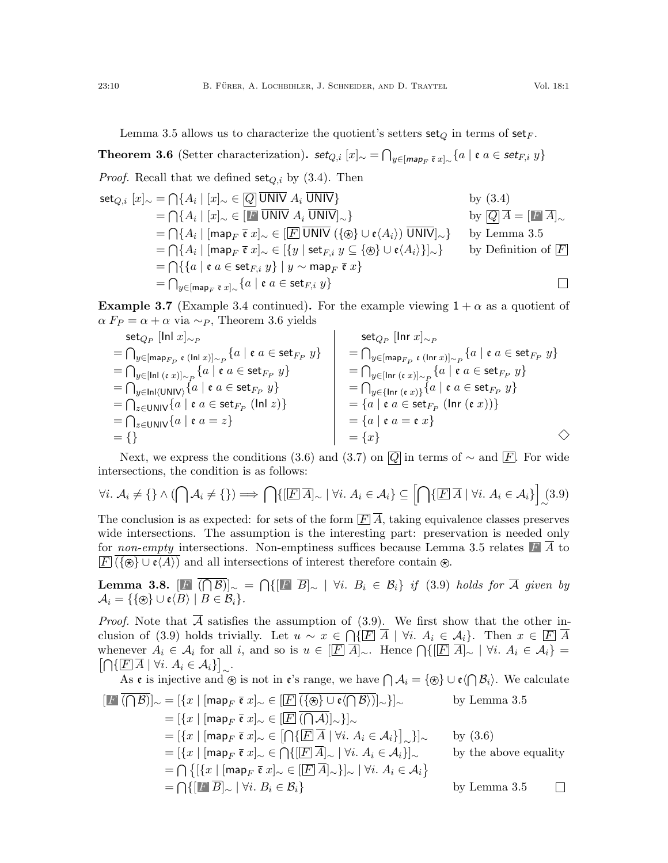Lemma [3.5](#page-8-1) allows us to characterize the quotient's setters set<sub>Q</sub> in terms of set<sub>F</sub>.

<span id="page-9-0"></span>Theorem 3.6 (Setter characterization). set $_{Q,i} [x]_{\sim} = \bigcap_{y \in [map_F \bar{\mathfrak{e}} \ x]_{\sim}} \{a \mid \mathfrak{e} \ a \in \mathsf{set}_{F,i} \ y\}$ *Proof.* Recall that we defined  $set_{Q,i}$  by [\(3.4\)](#page-6-4). Then  $\text{set}_{Q,i}[x]_{\sim} = \bigcap \{A_i \mid [x]_{\sim} \in \overline{Q} \text{ \overline{UNIV}}\}$  by [\(3.4\)](#page-6-4)  $=\bigcap\{A_i\mid [x]_{\sim}\in [F]$  UNIV  $A_i$  UNIV] $_{\sim}\}$  by  $\overline{Q}|\overline{A}=[F]\overline{A}]_{\sim}$  $=\bigcap\{A_i\mid [\mathsf{map}_F\;\bar{\mathfrak{e}}\;x]_\sim\in [\![\overline{F}]\,\overline{\mathsf{UNIV}}\;(\{\circledast\}\cup\mathfrak{e}\langle A_i\rangle)\;\overline{\mathsf{UNIV}}]_\sim\}\quad\text{ by Lemma 3.5}$  $=\bigcap\{A_i\mid [\mathsf{map}_F\;\bar{\mathfrak{e}}\;x]_\sim\in [\![\overline{F}]\,\overline{\mathsf{UNIV}}\;(\{\circledast\}\cup\mathfrak{e}\langle A_i\rangle)\;\overline{\mathsf{UNIV}}]_\sim\}\quad\text{ by Lemma 3.5}$  $=\bigcap\{A_i\mid [\mathsf{map}_F\;\bar{\mathfrak{e}}\;x]_\sim\in [\![\overline{F}]\,\overline{\mathsf{UNIV}}\;(\{\circledast\}\cup\mathfrak{e}\langle A_i\rangle)\;\overline{\mathsf{UNIV}}]_\sim\}\quad\text{ by Lemma 3.5}$  $\mathcal{F} = \bigcap \{A_i \mid [\mathsf{map}_F\; \bar{\mathfrak{e}} \; x]_\sim \in [\{y \;|\; \mathsf{set}_{F,i} \; y \subseteq \{\circledast\} \cup \mathfrak{e}\langle A_i \rangle\}]_\sim\} \qquad \text{by Definition of } \overline{E}$  $=\bigcap\{\{a \mid \mathfrak{e} \ a \in \mathsf{set}_{F,i}\ y\} \mid y \sim \mathsf{map}_F\ \overline{\mathfrak{e}}\ x\}$  $=\bigcap_{y\in[\mathsf{map}_F\;\bar{\mathfrak{e}}\;x]_\sim}\{a\;|\;\mathfrak{e}\;a\in\mathsf{set}_{F,i}\;y\}$  $\Box$ 

<span id="page-9-3"></span>**Example 3.7** (Example [3.4](#page-8-2) continued). For the example viewing  $1 + \alpha$  as a quotient of  $\alpha F_P = \alpha + \alpha$  via  $\sim_P$ , Theorem [3.6](#page-9-0) yields

$$
\begin{array}{lcl}\n\text{set}_{Q_P} \left[ \ln |x|_{\sim_P} \right] & = & \bigcap_{y \in [\text{map}_{F_P} \mathfrak{e} \ (|\text{in} \ x)]_{\sim_P}} \{a \mid \mathfrak{e} \ a \in \text{set}_{F_P} y\} \\
& = & \bigcap_{y \in [\text{in} \ (e \ x)]_{\sim_P}} \{a \mid \mathfrak{e} \ a \in \text{set}_{F_P} y\} \\
& = & \bigcap_{y \in [\text{in} \ (0 \text{N} \text{N})] \vee \{a \mid \mathfrak{e} \ a \in \text{set}_{F_P} y\} \\
& = & \bigcap_{y \in [\text{in} \ (e \ x)]_{\sim_P}} \{a \mid \mathfrak{e} \ a \in \text{set}_{F_P} y\} \\
& = & \bigcap_{y \in [\text{in} \ (e \ x)]_{\sim_P}} \{a \mid \mathfrak{e} \ a \in \text{set}_{F_P} y\} \\
& = & \bigcap_{y \in [\text{in} \ (e \ x)]_{\sim_P}} \{a \mid \mathfrak{e} \ a \in \text{set}_{F_P} y\} \\
& = & \bigcap_{y \in [\text{in} \ (e \ x)]_{\sim_P}} \{a \mid \mathfrak{e} \ a \in \text{set}_{F_P} y\} \\
& = & \bigcap_{y \in [\text{in} \ (e \ x)]_{\sim_P}} \{a \mid \mathfrak{e} \ a \in \text{set}_{F_P} y\} \\
& = & \bigcap_{y \in [\text{in} \ (e \ x)] \wedge \{a \mid \mathfrak{e} \ a \in \text{set}_{F_P} y\} \\
& = & \bigcap_{y \in [\text{in} \ (e \ x)] \wedge \{a \mid \mathfrak{e} \ a \in \text{set}_{F_P} y\} \\
& = & \bigcap_{y \in [\text{in} \ (e \ x)] \wedge \{a \mid \mathfrak{e} \ a \in \text{set}_{F_P} y\} \\
& = & \bigcap_{y \in [\text{in} \ (e \ x)] \wedge \{a \mid \mathfrak{e} \ a \in \text{set}_{F_P} y\} \\
& = & \bigcap_{y \in [\text{in} \ (e \ x)] \wedge \{a
$$

Next, we express the conditions [\(3.6\)](#page-7-2) and [\(3.7\)](#page-7-3) on  $\overline{Q}$  in terms of  $\sim$  and  $\overline{F}$ . For wide intersections, the condition is as follows:

<span id="page-9-1"></span>
$$
\forall i. \ A_i \neq \{\} \ \land \ (\bigcap \mathcal{A}_i \neq \{\}) \Longrightarrow \bigcap \{ [\overline{F} \ \overline{A}]_{\sim} \ | \ \forall i. \ A_i \in \mathcal{A}_i \} \subseteq \left[\bigcap \{ [\overline{F} \ \overline{A} \ | \ \forall i. \ A_i \in \mathcal{A}_i \} \right]_{\sim} (3.9)
$$

The conclusion is as expected: for sets of the form  $\boxed{F}$   $\boxed{A}$ , taking equivalence classes preserves wide intersections. The assumption is the interesting part: preservation is needed only for *non-empty* intersections. Non-emptiness suffices because Lemma [3.5](#page-8-1) relates  $\boldsymbol{F}$  A to  $\overline{F}$  ({ $\otimes$ }  $\cup$   $\varepsilon$  $\langle A \rangle$ ) and all intersections of interest therefore contain  $\otimes$ .

<span id="page-9-2"></span>Lemma 3.8.  $[\mathbf{F}](\bigcap \mathcal{B})]_{\sim} = \bigcap \{ [\mathbf{F} \ \overline{B}]_{\sim} \mid \forall i. \ B_i \in \mathcal{B}_i \} \ \textit{if} \ \ (3.9) \ \textit{holds for} \ \overline{\mathcal{A}} \ \textit{given by}$  $[\mathbf{F}](\bigcap \mathcal{B})]_{\sim} = \bigcap \{ [\mathbf{F} \ \overline{B}]_{\sim} \mid \forall i. \ B_i \in \mathcal{B}_i \} \ \textit{if} \ \ (3.9) \ \textit{holds for} \ \overline{\mathcal{A}} \ \textit{given by}$  $[\mathbf{F}](\bigcap \mathcal{B})]_{\sim} = \bigcap \{ [\mathbf{F} \ \overline{B}]_{\sim} \mid \forall i. \ B_i \in \mathcal{B}_i \} \ \textit{if} \ \ (3.9) \ \textit{holds for} \ \overline{\mathcal{A}} \ \textit{given by}$  $\mathcal{A}_i = \{ \{ \circledast \} \cup \mathfrak{e} \langle B \rangle \mid B \in \mathcal{B}_i \}.$ 

*Proof.* Note that  $\overline{A}$  satisfies the assumption of [\(3.9\)](#page-9-1). We first show that the other in-clusion of [\(3.9\)](#page-9-1) holds trivially. Let  $u \sim x \in \bigcap \{ \boxed{F} \ \overline{A} \mid \forall i. \ A_i \in \mathcal{A}_i \}$ . Then  $x \in \boxed{F} \ \overline{A}$ whenever  $A_i \in \mathcal{A}_i$  for all i, and so is  $u \in [\overline{F} \ \overline{A}]_{\sim}$ . Hence  $\bigcap \{ [\overline{F} \ \overline{A}]_{\sim} \mid \forall i$ .  $A_i \in \mathcal{A}_i \}$  $\left[\bigcap\{\overline{F}\,\overline{A}\mid\forall i.\,A_i\in\mathcal{A}_i\}\right]_{\sim}.$ 

As  $\mathfrak e$  is injective and  $\otimes$  is not in  $\mathfrak e$ 's range, we have  $\bigcap \mathcal A_i = \{\otimes\} \cup \mathfrak e \langle \bigcap \mathcal B_i \rangle$ . We calculate

$$
[\mathbb{F}(\bigcap \mathcal{B})]_{\sim} = [\{x \mid [\mathsf{map}_F \ \bar{\mathfrak{e}} \ x]_{\sim} \in [\mathbb{F}(\{\oplus\} \cup \mathfrak{e} \langle \bigcap \mathcal{B} \rangle)]_{\sim}\}]_{\sim} \qquad \text{by Lemma 3.5}
$$
  
\n
$$
= [\{x \mid [\mathsf{map}_F \ \bar{\mathfrak{e}} \ x]_{\sim} \in [\mathbb{F}(\bigcap \mathcal{A})]_{\sim}\}]_{\sim}
$$
  
\n
$$
= [\{x \mid [\mathsf{map}_F \ \bar{\mathfrak{e}} \ x]_{\sim} \in [\bigcap \{\mathbb{F}[\overline{A} \mid \forall i. A_i \in \mathcal{A}_i\}]_{\sim}\}]_{\sim} \qquad \text{by (3.6)}
$$
  
\n
$$
= [\{x \mid [\mathsf{map}_F \ \bar{\mathfrak{e}} \ x]_{\sim} \in [\bigcap \{\mathbb{F}[\overline{A}]_{\sim} \mid \forall i. A_i \in \mathcal{A}_i\}]_{\sim} \qquad \text{by the above equality}
$$
  
\n
$$
= \bigcap \{ [\{x \mid [\mathsf{map}_F \ \bar{\mathfrak{e}} \ x]_{\sim} \in [\mathbb{F}[\overline{A}]_{\sim}\}]_{\sim} \mid \forall i. A_i \in \mathcal{A}_i \} \qquad \text{by Lemma 3.5}
$$
  
\n
$$
= \bigcap \{ [\mathbb{F}[\overline{B}]_{\sim} \mid \forall i. B_i \in \mathcal{B}_i \} \qquad \text{by Lemma 3.5}
$$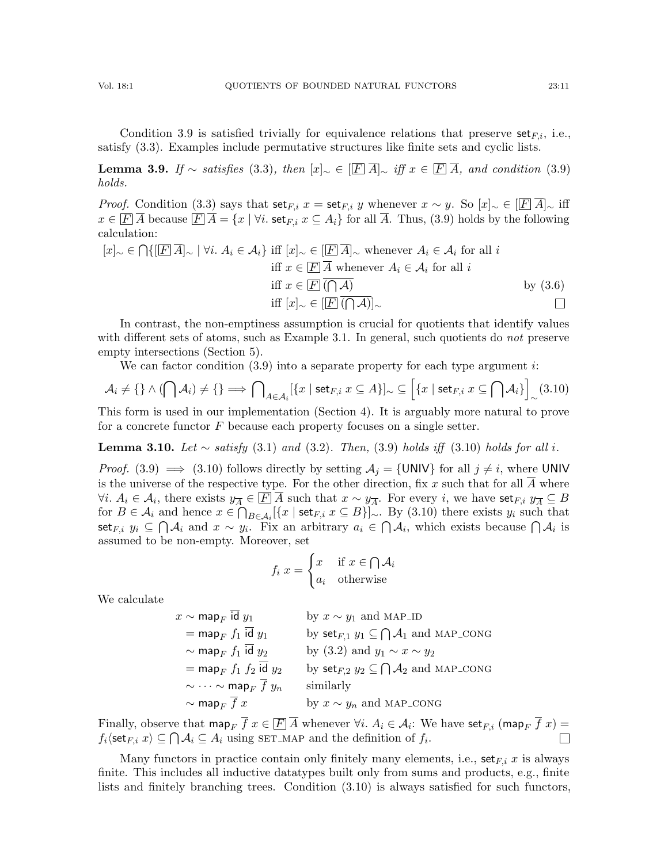Condition [3.9](#page-9-1) is satisfied trivially for equivalence relations that preserve  $set_{F,i}$ , i.e., satisfy [\(3.3\)](#page-6-7). Examples include permutative structures like finite sets and cyclic lists.

<span id="page-10-1"></span>**Lemma 3.9.** If ∼ satisfies [\(3.3\)](#page-6-7), then  $[x]_{\sim} \in [\overline{F} \ \overline{A}]_{\sim}$  iff  $x \in [\overline{F} \ \overline{A}]$ , and condition [\(3.9\)](#page-9-1) holds.

*Proof.* Condition [\(3.3\)](#page-6-7) says that  $\text{set}_{F,i}$  x =  $\text{set}_{F,i}$  y whenever  $x \sim y$ . So  $[x]_{\sim} \in [\overline{F}]A]_{\sim}$  iff  $x \in \overline{F}$  A because  $\overline{F}$   $\overline{A} = \{x \mid \forall i$ . set  $F_i$ ,  $x \subseteq A_i\}$  for all  $\overline{A}$ . Thus, [\(3.9\)](#page-9-1) holds by the following calculation:

$$
[x]_{\sim} \in \bigcap \{ [\overline{F} \ \overline{A}]_{\sim} \mid \forall i. \ A_i \in \mathcal{A}_i \} \text{ iff } [x]_{\sim} \in [\overline{F} \ \overline{A}]_{\sim} \text{ whenever } A_i \in \mathcal{A}_i \text{ for all } i
$$
  
iff  $x \in \overline{F} \ \overline{A} \text{ whenever } A_i \in \mathcal{A}_i \text{ for all } i$   
iff  $x \in \overline{F} \ \overline{(\bigcap A)} \ \text{ by (3.6)}iff  $[x]_{\sim} \in [\overline{F} \ \overline{(\bigcap A)}]_{\sim}$$ 

In contrast, the non-emptiness assumption is crucial for quotients that identify values with different sets of atoms, such as Example [3.1.](#page-6-6) In general, such quotients do *not* preserve empty intersections (Section [5\)](#page-22-0).

We can factor condition  $(3.9)$  into a separate property for each type argument *i*:

<span id="page-10-0"></span>
$$
\mathcal{A}_i \neq \{\} \land (\bigcap \mathcal{A}_i) \neq \{\} \Longrightarrow \bigcap_{A \in \mathcal{A}_i} [\{x \mid \text{set}_{F,i} \ x \subseteq A\}]_{\sim} \subseteq \Big[\{x \mid \text{set}_{F,i} \ x \subseteq \bigcap \mathcal{A}_i\}\Big]_{\sim} (3.10)
$$

This form is used in our implementation (Section [4\)](#page-20-0). It is arguably more natural to prove for a concrete functor  $F$  because each property focuses on a single setter.

<span id="page-10-2"></span>**Lemma 3.10.** Let ∼ satisfy [\(3.1\)](#page-6-1) and [\(3.2\)](#page-6-2). Then, [\(3.9\)](#page-9-1) holds iff [\(3.10\)](#page-10-0) holds for all i.

*Proof.* [\(3.9\)](#page-9-1)  $\implies$  [\(3.10\)](#page-10-0) follows directly by setting  $A_i = \{UNIV\}$  for all  $j \neq i$ , where UNIV is the universe of the respective type. For the other direction, fix  $x$  such that for all  $A$  where  $\forall i. A_i \in \mathcal{A}_i$ , there exists  $y_{\overline{A}} \in \boxed{F}{\overline{A}}$  such that  $x \sim y_{\overline{A}}$ . For every i, we have set<sub>F,i</sub>  $y_{\overline{A}} \subseteq B$ for  $B \in \mathcal{A}_i$  and hence  $x \in \bigcap_{B \in \mathcal{A}_i} [\{x \mid \text{set}_{F,i} \ x \subseteq B\}]_{\sim}$ . By [\(3.10\)](#page-10-0) there exists  $y_i$  such that set<sub>F,i</sub>  $y_i$  ⊆  $\bigcap A_i$  and  $x \sim y_i$ . Fix an arbitrary  $a_i \in \bigcap A_i$ , which exists because  $\bigcap A_i$  is assumed to be non-empty. Moreover, set

$$
f_i x = \begin{cases} x & \text{if } x \in \bigcap \mathcal{A}_i \\ a_i & \text{otherwise} \end{cases}
$$

We calculate

 $x \sim \text{map}_F$  id  $y_1$  by  $x \sim y_1$  and MAP\_ID  $=$  map<sub>F</sub>  $f_1$  id  $y_1$  by set<sub>F,1</sub>  $y_1 \subseteq \bigcap A_1$  and MAP\_CONG  $\sim$  map<sub>F</sub>  $f_1$  id  $y_2$  by [\(3.2\)](#page-6-2) and  $y_1 \sim x \sim y_2$  $=$  map<sub>F</sub>  $f_1$   $f_2$   $\overline{id}$   $y_2$  by set<sub>F,2</sub>  $y_2 \subseteq \bigcap A_2$  and MAP\_CONG  $\sim \cdots \sim \text{map}_F \overline{f} y_n$  similarly  $\sim$  map<sub>F</sub>  $\overline{f}$  x by  $x \sim y_n$  and MAP\_CONG

Finally, observe that  $\mathsf{map}_F \overline{f}$   $x \in \overline{F}$   $\overline{A}$  whenever  $\forall i.$   $A_i \in \mathcal{A}_i$ : We have  $\mathsf{set}_{F,i}$   $(\mathsf{map}_F \overline{f}$   $x)$   $=$  $f_i\langle \textsf{set}_{F,i} \ x \rangle \subseteq \bigcap \mathcal{A}_i \subseteq A_i$  using SET\_MAP and the definition of  $f_i$ .  $\Box$ 

Many functors in practice contain only finitely many elements, i.e.,  $\text{set}_{F,i} x$  is always finite. This includes all inductive datatypes built only from sums and products, e.g., finite lists and finitely branching trees. Condition [\(3.10\)](#page-10-0) is always satisfied for such functors,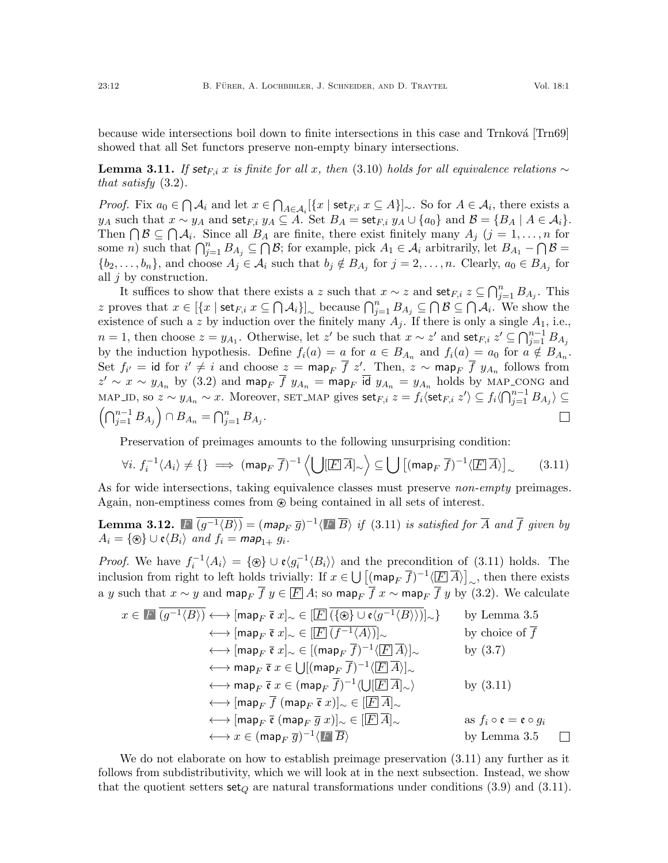because wide intersections boil down to finite intersections in this case and Trnková [\[Trn69\]](#page-26-15) showed that all Set functors preserve non-empty binary intersections.

<span id="page-11-0"></span>**Lemma 3.11.** If set<sub>Fi</sub> x is finite for all x, then [\(3.10\)](#page-10-0) holds for all equivalence relations  $\sim$ that satisfy [\(3.2\)](#page-6-2).

*Proof.* Fix  $a_0 \in \bigcap A_i$  and let  $x \in \bigcap_{A \in \mathcal{A}_i} [\{x \mid \text{set}_{F,i} \ x \subseteq A\}]_\sim$ . So for  $A \in \mathcal{A}_i$ , there exists a y<sub>A</sub> such that  $x \sim y_A$  and set<sub>F,i</sub>  $y_A \subseteq A$ . Set  $B_A =$  set<sub>F,i</sub>  $y_A \cup \{a_0\}$  and  $B = \{B_A \mid A \in \mathcal{A}_i\}.$ Then  $\bigcap \mathcal{B} \subseteq \bigcap \mathcal{A}_i$ . Since all  $B_A$  are finite, there exist finitely many  $A_j$   $(j = 1, \ldots, n$  for some *n*) such that  $\bigcap_{j=1}^n B_{A_j} \subseteq \bigcap \mathcal{B}$ ; for example, pick  $A_1 \in \mathcal{A}_i$  arbitrarily, let  $B_{A_1} - \bigcap \mathcal{B} =$  $\{b_2,\ldots,b_n\}$ , and choose  $A_j \in \mathcal{A}_i$  such that  $b_j \notin B_{A_j}$  for  $j=2,\ldots,n$ . Clearly,  $a_0 \in B_{A_j}$  for all j by construction.

It suffices to show that there exists a z such that  $x \sim z$  and set $F, i \in \bigcap_{j=1}^n B_{A_j}$ . This z proves that  $x \in [\{x \mid \text{set}_{F,i} \ x \subseteq \bigcap \mathcal{A}_i\}]_{\sim}$  because  $\bigcap_{j=1}^n B_{A_j} \subseteq \bigcap \mathcal{B} \subseteq \bigcap \mathcal{A}_i$ . We show the existence of such a z by induction over the finitely many  $A_j$ . If there is only a single  $A_1$ , i.e.,  $n=1$ , then choose  $z=y_{A_1}$ . Otherwise, let z' be such that  $x \sim z'$  and set  $F, i \in \bigcap_{j=1}^{n-1} B_{A_j}$ by the induction hypothesis. Define  $f_i(a) = a$  for  $a \in B_{A_n}$  and  $f_i(a) = a_0$  for  $a \notin B_{A_n}$ . Set  $f_{i'} = id$  for  $i' \neq i$  and choose  $z = \text{map}_F \overline{f} z'$ . Then,  $z \sim \text{map}_F \overline{f} y_{A_n}$  follows from  $z' \sim x \sim y_{A_n}$  by [\(3.2\)](#page-6-2) and map<sub>F</sub>  $\overline{f} y_{A_n} = \text{map}_{F}$  id  $y_{A_n} = y_{A_n}$  holds by MAP\_CONG and MAP\_ID, so  $z \sim y_{A_n} \sim x$ . Moreover, SET\_MAP gives  $\textsf{set}_{F,i}$   $z = f_i \langle \textsf{set}_{F,i} | z' \rangle \subseteq f_i \langle \bigcap_{j=1}^{n-1} B_{A_j} \rangle \subseteq$  $(\bigcap_{j=1}^{n-1} B_{A_j}) \cap B_{A_n} = \bigcap_{j=1}^{n} B_{A_j}.$  $\Box$ 

Preservation of preimages amounts to the following unsurprising condition:

<span id="page-11-1"></span>
$$
\forall i. \ f_i^{-1} \langle A_i \rangle \neq \{\} \implies (\text{map}_F \ \overline{f})^{-1} \left\langle \bigcup [\underline{F} \ \overline{A}]_{\sim} \right\rangle \subseteq \bigcup \left[ (\text{map}_F \ \overline{f})^{-1} \langle \overline{F} \ \overline{A} \rangle \right]_{\sim} \tag{3.11}
$$

As for wide intersections, taking equivalence classes must preserve *non-empty* preimages. Again, non-emptiness comes from  $\otimes$  being contained in all sets of interest.

<span id="page-11-2"></span>**Lemma 3.12.**  $\blacksquare$   $\overline{(g^{-1}\langle B\rangle)} = (m$ ap<sub>F</sub>  $\overline{g})^{-1}\langle \blacksquare \overline{B}\rangle$  if [\(3.11\)](#page-11-1) is satisfied for  $\overline{A}$  and  $\overline{f}$  given by  $A_i = {\mathcal{R}} \cup {\mathfrak{e}} \langle B_i \rangle$  and  $f_i = {\mathsf{map}}_{1+} g_i$ .

*Proof.* We have  $f_i^{-1} \langle A_i \rangle = {\Theta} \cup {\mathfrak{e}} \langle g_i^{-1} \langle B_i \rangle$  and the precondition of [\(3.11\)](#page-11-1) holds. The inclusion from right to left holds trivially: If  $x \in \bigcup \left[ (\text{map}_F \overline{f})^{-1} \langle \boxed{F} \overline{A} \rangle \right]_{\sim}$ , then there exists a y such that  $x \sim y$  and map<sub>F</sub>  $\overline{f} y \in \overline{F} A$ ; so map<sub>F</sub>  $\overline{f} x \sim$  map<sub>F</sub>  $\overline{f} y$  by [\(3.2\)](#page-6-2). We calculate

$$
x \in \mathbf{F} \overline{(g^{-1}\langle B\rangle)} \longleftrightarrow \overline{[map_F \mathbf{\vec{e}} x]}_{\sim} \in \overline{[E]} \overline{(\{\circledast\} \cup \mathbf{e} \langle g^{-1}\langle B\rangle\rangle)}]_{\sim}
$$
 by Lemma 3.5  
\n
$$
\longleftrightarrow \overline{[map_F \mathbf{\vec{e}} x]}_{\sim} \in \overline{[E]} \overline{(f^{-1}\langle A\rangle)}]_{\sim}
$$
 by choice of  $\overline{f}$   
\n
$$
\longleftrightarrow \overline{[map_F \mathbf{\vec{e}} x]}_{\sim} \in [(\text{map}_F \overline{f})^{-1}\langle \overline{E} \overline{A}\rangle]_{\sim}
$$
 by (3.7)  
\n
$$
\longleftrightarrow \overline{map_F \mathbf{\vec{e}} x} \in \bigcup [(\text{map}_F \overline{f})^{-1}\langle \overline{E} \overline{A}\rangle]_{\sim}
$$
  
\n
$$
\longleftrightarrow \overline{map_F \mathbf{\vec{e}} x} \in (\text{map}_F \overline{f})^{-1}\langle \bigcup [\overline{E} \overline{A}]_{\sim} \rangle
$$
 by (3.11)  
\n
$$
\longleftrightarrow [\text{map}_F \overline{f} (\text{map}_F \overline{g} x)]_{\sim} \in [\overline{E} \overline{A}]_{\sim}
$$
  
\n
$$
\longleftrightarrow [\text{map}_F \overline{e} (\text{map}_F \overline{g} x)]_{\sim} \in [\overline{E} \overline{A}]_{\sim}
$$
as  $f_i \circ \mathbf{e} = \mathbf{e} \circ g_i$   
\n
$$
\longleftrightarrow x \in (\text{map}_F \overline{g})^{-1}\langle \overline{E} \overline{B}\rangle
$$
by Lemma 3.5

We do not elaborate on how to establish preimage preservation [\(3.11\)](#page-11-1) any further as it follows from subdistributivity, which we will look at in the next subsection. Instead, we show that the quotient setters  $\text{set}_Q$  are natural transformations under conditions [\(3.9\)](#page-9-1) and [\(3.11\)](#page-11-1).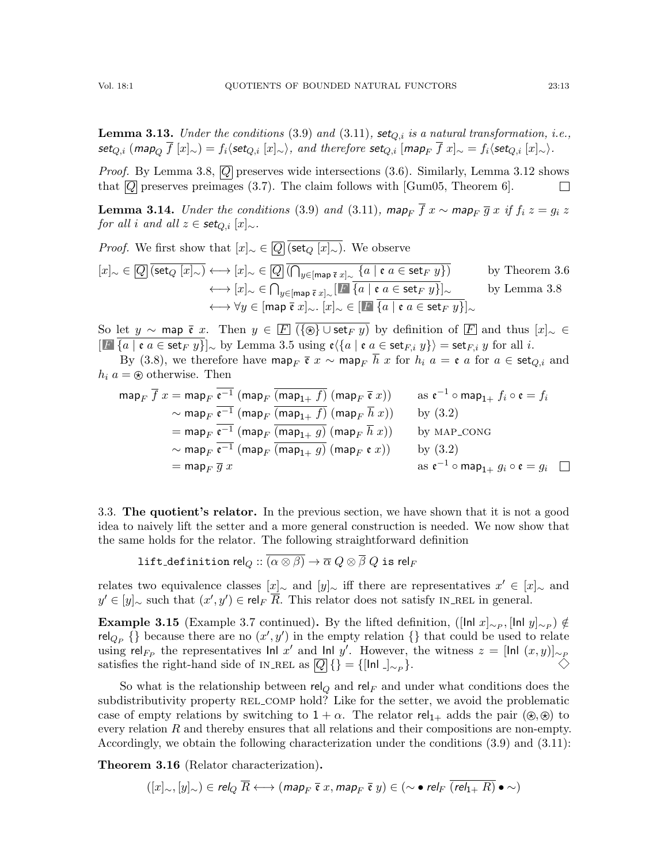<span id="page-12-2"></span>**Lemma 3.13.** Under the conditions [\(3.9\)](#page-9-1) and [\(3.11\)](#page-11-1), set<sub>O,i</sub> is a natural transformation, i.e., set<sub>Q,i</sub> (map<sub>Q</sub>  $\overline{f}$  [x]∼) = f<sub>i</sub> $\langle$ set<sub>Q,i</sub> [x]∼ $\rangle$ , and therefore set<sub>Q,i</sub> [map<sub>F</sub>  $\overline{f}$  x]∼ = f<sub>i</sub> $\langle$ set<sub>Q,i</sub> [x]∼ $\rangle$ .

*Proof.* By Lemma [3.8,](#page-9-2)  $\overline{Q}$  preserves wide intersections [\(3.6\)](#page-7-2). Similarly, Lemma [3.12](#page-11-2) shows that  $\overline{Q}$  preserves preimages [\(3.7\)](#page-7-3). The claim follows with [\[Gum05,](#page-25-12) Theorem 6].  $\Box$ 

<span id="page-12-1"></span>**Lemma 3.14.** Under the conditions [\(3.9\)](#page-9-1) and [\(3.11\)](#page-11-1), map<sub>F</sub>  $\overline{f}$  x ~ map<sub>F</sub>  $\overline{g}$  x if  $f_i z = g_i z$ for all i and all  $z \in \mathsf{set}_{Q,i}[x]_{\sim}$ .

*Proof.* We first show that  $[x]_{\sim} \in \overline{Q}$  (set<sub>Q</sub>  $[x]_{\sim}$ ). We observe

$$
[x]_{\sim} \in \overline{Q} \overline{\text{ (set}_Q [x]_{\sim})} \longleftrightarrow [x]_{\sim} \in \overline{Q} \overline{\text{ (}\bigcap_{y \in [\text{map } \overline{\mathfrak{e}} \ x]_{\sim} \{a \mid \mathfrak{e} \ a \in \text{set}_F \ y\}\text{)}} \qquad \text{by Theorem 3.6}
$$
\n
$$
\longleftrightarrow [x]_{\sim} \in \bigcap_{y \in [\text{map } \overline{\mathfrak{e}} \ x]_{\sim} \cdot} \overline{[x]_{\sim} \{a \mid \mathfrak{e} \ a \in \text{set}_F \ y\}\big]_{\sim}} \qquad \text{by Lemma 3.8}
$$
\n
$$
\longleftrightarrow \forall y \in [\text{map } \overline{\mathfrak{e}} \ x]_{\sim} \cdot [x]_{\sim} \in [\overline{L} \ \overline{\{a \mid \mathfrak{e} \ a \in \text{set}_F \ y\}\big]_{\sim}}
$$

So let y ~ map  $\bar{\mathfrak{e}}$  x. Then  $y \in \bar{F}$   $\overline{(\{\circledast\} \cup \mathsf{set}_F y)}$  by definition of  $\bar{F}$  and thus  $[x]_{\sim} \in$  $[F\{\{a \mid \mathfrak{e} \ a \in \textsf{set}_F \ y\}]\sim \text{by Lemma 3.5 using } \mathfrak{e}\langle \{a \mid \mathfrak{e} \ a \in \textsf{set}_{F,i} \ y\} \rangle = \textsf{set}_{F,i} \ y \text{ for all } i.$  $[F\{\{a \mid \mathfrak{e} \ a \in \textsf{set}_F \ y\}]\sim \text{by Lemma 3.5 using } \mathfrak{e}\langle \{a \mid \mathfrak{e} \ a \in \textsf{set}_{F,i} \ y\} \rangle = \textsf{set}_{F,i} \ y \text{ for all } i.$  $[F\{\{a \mid \mathfrak{e} \ a \in \textsf{set}_F \ y\}]\sim \text{by Lemma 3.5 using } \mathfrak{e}\langle \{a \mid \mathfrak{e} \ a \in \textsf{set}_{F,i} \ y\} \rangle = \textsf{set}_{F,i} \ y \text{ for all } i.$ 

By [\(3.8\)](#page-8-0), we therefore have map<sub>F</sub>  $\bar{\mathfrak{e}}$  x ~ map<sub>F</sub>  $\bar{h}$  x for  $h_i$   $a = \mathfrak{e}$  a for  $a \in \text{set}_{Q,i}$  and  $h_i$   $a = \otimes$  otherwise. Then

$$
\begin{aligned}\n\text{map}_F \ \overline{f} \ x &= \text{map}_F \ \overline{\mathfrak{e}^{-1}} \ (\text{map}_F \ \overline{(\text{map}_{1+} f)} \ (\text{map}_F \ \overline{\mathfrak{e}} \ x)) \\
&\sim \text{map}_F \ \overline{\mathfrak{e}^{-1}} \ (\text{map}_F \ \overline{(\text{map}_{1+} f)} \ (\text{map}_F \ \overline{h} \ x)) \\
&= \text{map}_F \ \overline{\mathfrak{e}^{-1}} \ (\text{map}_F \ \overline{(\text{map}_{1+} g)} \ (\text{map}_F \ \overline{h} \ x)) \\
&\sim \text{map}_F \ \overline{\mathfrak{e}^{-1}} \ (\text{map}_F \ \overline{(\text{map}_{1+} g)} \ (\text{map}_F \ \overline{h} \ x)) \\
&\sim \text{map}_F \ \overline{\mathfrak{e}^{-1}} \ (\text{map}_F \ \overline{(\text{map}_{1+} g)} \ (\text{map}_F \ \overline{h} \ x)) \\
&= \text{map}_F \ \overline{g} \ x\n\end{aligned}
$$
\n
$$
\begin{aligned}\n\text{map}_F \ (\text{map}_F \ (\text{map}_{1+} g) \ (\text{map}_F \ \overline{h} \ x)) \\
&\sim \text{map}_F \ \overline{\mathfrak{e}^{-1}} \ (\text{map}_F \ (\text{map}_{1+} g) \ (\text{map}_F \ \overline{e} \ x)) \\
&\approx \text{map}_{1+} g_i \circ \mathfrak{e} = g_i \ \Box\n\end{aligned}
$$

<span id="page-12-0"></span>3.3. The quotient's relator. In the previous section, we have shown that it is not a good idea to naively lift the setter and a more general construction is needed. We now show that the same holds for the relator. The following straightforward definition

lift\_definition rel $\varrho::\overline{(\alpha\otimes\beta)}\to\overline{\alpha}$   $Q\otimes\overline{\beta}$   $Q$  is rel $_F$ 

relates two equivalence classes  $[x]_{\sim}$  and  $[y]_{\sim}$  iff there are representatives  $x' \in [x]_{\sim}$  and  $y' \in [y]_{\sim}$  such that  $(x', y') \in rel_F \overline{R}$ . This relator does not satisfy IN\_REL in general.

<span id="page-12-3"></span>Example 3.15 (Example [3.7](#page-9-3) continued). By the lifted definition, ([In  $x_{\sim P}$ , [In  $y_{\sim P}$ )  $\notin$ rel<sub>Q<sub>P</sub></sub> {} because there are no  $(x', y')$  in the empty relation {} that could be used to relate using rel<sub>FP</sub> the representatives Inl x' and Inl y'. However, the witness  $z = \text{[Inl } (x, y)$ <sub>NP</sub> satisfies the right-hand side of IN\_REL as  $\overline{Q}$  {} = {[In ]<sub>∼P</sub>}.

So what is the relationship between rel<sub>Q</sub> and rel<sub>F</sub> and under what conditions does the subdistributivity property REL\_COMP hold? Like for the setter, we avoid the problematic case of empty relations by switching to  $1 + \alpha$ . The relator rel<sub>1+</sub> adds the pair ( $\circledast$ ) to every relation  $R$  and thereby ensures that all relations and their compositions are non-empty. Accordingly, we obtain the following characterization under the conditions [\(3.9\)](#page-9-1) and [\(3.11\)](#page-11-1):

<span id="page-12-4"></span>Theorem 3.16 (Relator characterization).

$$
([x]_{\sim}, [y]_{\sim}) \in rel_Q \ \overline{R} \longleftrightarrow (map_F \ \overline{\mathfrak{e}} \ x, map_F \ \overline{\mathfrak{e}} \ y) \in (\sim \bullet \ rel_F \ \overline{(rel_{1+} R)} \bullet \sim)
$$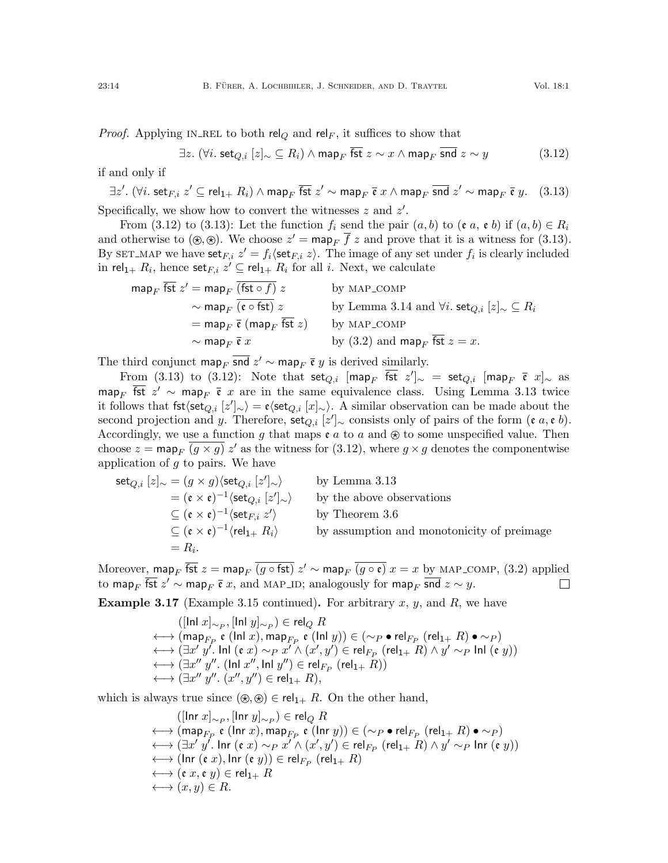<span id="page-13-0"></span>
$$
\exists z. \ (\forall i. \ \textsf{set}_{Q,i} \ [z]_{\sim} \subseteq R_i) \land \textsf{map}_F \ \overline{\textsf{fst}} \ z \sim x \land \textsf{map}_F \ \overline{\textsf{snd}} \ z \sim y \tag{3.12}
$$

if and only if

<span id="page-13-1"></span> $\exists z'.$   $(\forall i.$   $\mathsf{set}_{F,i} \ z' \subseteq \mathsf{rel}_{1+} \ R_i) \wedge \mathsf{map}_F$   $\overline{\mathsf{fst}} \ z' \sim \mathsf{map}_F$   $\overline{\mathfrak{e}} \ x \wedge \mathsf{map}_F$   $\overline{\mathsf{snd}} \ z' \sim \mathsf{map}_F$   $\overline{\mathfrak{e}} \ y. \tag{3.13}$ Specifically, we show how to convert the witnesses  $z$  and  $z'$ .

From [\(3.12\)](#page-13-0) to [\(3.13\)](#page-13-1): Let the function  $f_i$  send the pair  $(a, b)$  to  $(e, a, e, b)$  if  $(a, b) \in R_i$ and otherwise to  $(\mathcal{R}, \mathcal{R})$ . We choose  $z' = \text{map}_F \overline{f} z$  and prove that it is a witness for [\(3.13\)](#page-13-1). By SET\_MAP we have  $\textsf{set}_{F,i} z' = f_i \langle \textsf{set}_{F,i} z \rangle$ . The image of any set under  $f_i$  is clearly included in rel $_{1+}$   $R_i,$  hence set $_{F,i}$   $z' \subseteq$  rel $_{1+}$   $R_i$  for all  $i.$  Next, we calculate

$$
\begin{aligned}\n\text{map}_F \overline{\text{fst}} \ z' &= \text{map}_F \overline{\text{(fst \circ f)}} \ z \\
&\sim \text{map}_F \overline{\text{(e \circ \text{fst})}} \ z \\
&\sim \text{map}_F \overline{\text{(e \circ \text{fst})}} \ z \\
&\sim \text{map}_F \overline{\text{e}} \text{ (map}_F \overline{\text{fst}} \ z) \\
&\sim \text{map}_F \overline{\text{e}} \ x \\
&\sim \text{map}_F \overline{\text{e}} \ x \\
&\text{by MAP\_COMP} \\
\text{by (3.2) and } \text{map}_F \overline{\text{fst}} \ z = x.\n\end{aligned}
$$

The third conjunct map<sub>F</sub> snd  $z' \sim$  map<sub>F</sub>  $\bar{\mathfrak{e}}$  y is derived similarly.

From [\(3.13\)](#page-13-1) to [\(3.12\)](#page-13-0): Note that  $\mathsf{set}_{Q,i}$  [map $_F$   $\overline{\mathsf{fst}}$   $z']_{\sim}$  =  $\mathsf{set}_{Q,i}$  [map $_F$   $\overline{\mathfrak{e}}$   $x]_{\sim}$  as map<sub>F</sub>  $\overline{\text{fst}} z' \sim \text{map}_{F} \overline{\mathfrak{e}} x$  are in the same equivalence class. Using Lemma [3.13](#page-12-2) twice it follows that fst $\langle \text{set}_{Q,i} [z']_{\sim} \rangle = \mathfrak{e} \langle \text{set}_{Q,i} [x]_{\sim} \rangle$ . A similar observation can be made about the second projection and y. Therefore,  $\text{set}_{Q,i}[z']_{\sim}$  consists only of pairs of the form  $(e, a, e, b)$ . Accordingly, we use a function g that maps  $e a$  to a and  $\otimes$  to some unspecified value. Then choose  $z = \text{map}_F$   $\overline{(g \times g)}$   $z'$  as the witness for [\(3.12\)](#page-13-0), where  $g \times g$  denotes the componentwise application of  $g$  to pairs. We have

$$
\begin{aligned}\n\text{set}_{Q,i} [z]_{\sim} &= (g \times g) \langle \text{set}_{Q,i} [z']_{\sim} \rangle & \text{by Lemma 3.13} \\
&= (\mathfrak{e} \times \mathfrak{e})^{-1} \langle \text{set}_{Q,i} [z']_{\sim} \rangle & \text{by the above observations} \\
&\subseteq (\mathfrak{e} \times \mathfrak{e})^{-1} \langle \text{set}_{F,i} z' \rangle & \text{by Theorem 3.6} \\
&\subseteq (\mathfrak{e} \times \mathfrak{e})^{-1} \langle \text{rel}_{1+} R_i \rangle & \text{by assumption and monotonicity of preimage} \\
&= R_i.\n\end{aligned}
$$

Moreover, map $_F$   $\overline{\mathsf{fst}}\;z =$  map $_F$   $\overline{(g \circ \mathsf{fst})}\;z' \sim$  map $_F$   $\overline{(g \circ \mathfrak{e})}\;x = x$  by MAP\_COMP,  $(3.2)$  applied to map<sub>F</sub>  $\overline{\mathsf{fst}}\;z'\sim$  map<sub>F</sub>  $\overline{\mathfrak{e}}\;x,$  and MAP\_ID; analogously for map<sub>F</sub>  $\overline{\mathsf{snd}}\;z\sim y.$  $\Box$ 

**Example 3.17** (Example [3.15](#page-12-3) continued). For arbitrary  $x, y$ , and  $R$ , we have

$$
([\ln x]_{\sim P}, [\ln y]_{\sim P}) \in \text{rel}_Q R
$$
  
\n
$$
\longleftrightarrow (\text{map}_{F_P} \mathfrak{e} \ (\ln x), \text{map}_{F_P} \mathfrak{e} \ (\ln y)) \in (\sim_P \bullet \text{rel}_{F_P} \ (\text{rel}_{1+} R) \bullet \sim_P)
$$
  
\n
$$
\longleftrightarrow (\exists x' y'. \ \text{lnl} \ (\mathfrak{e} \ x) \sim_P x' \land (x', y') \in \text{rel}_{F_P} \ (\text{rel}_{1+} R) \land y' \sim_P \text{lnl} \ (\mathfrak{e} \ y))
$$
  
\n
$$
\longleftrightarrow (\exists x'' y''. \ (\text{lnl } x'', \text{lnl } y'') \in \text{rel}_{F_P} \ (\text{rel}_{1+} R))
$$
  
\n
$$
\longleftrightarrow (\exists x'' y''. (x'', y'') \in \text{rel}_{1+} R),
$$

which is always true since  $(\mathcal{D}, \mathcal{D}) \in rel_{1+} R$ . On the other hand,

$$
([\text{Inr } x]_{\sim_P}, [\text{Inr } y]_{\sim_P}) \in \text{rel}_Q R
$$
\n
$$
\longleftrightarrow (\text{map}_{F_P} \mathfrak{e} (\text{Inr } x), \text{map}_{F_P} \mathfrak{e} (\text{Inr } y)) \in (\sim_P \bullet \text{ rel}_{F_P} (\text{rel}_{1+} R) \bullet \sim_P)
$$
\n
$$
\longleftrightarrow (\exists x' y'. \text{ Inr } (\mathfrak{e } x) \sim_P x' \land (x', y') \in \text{ rel}_{F_P} (\text{rel}_{1+} R) \land y' \sim_P \text{ Inr } (\mathfrak{e } y))
$$
\n
$$
\longleftrightarrow (\text{Inr } (\mathfrak{e } x), \text{Inr } (\mathfrak{e } y)) \in \text{ rel}_{F_P} (\text{rel}_{1+} R)
$$
\n
$$
\longleftrightarrow (\mathfrak{e } x, \mathfrak{e } y) \in \text{ rel}_{1+} R
$$
\n
$$
\longleftrightarrow (x, y) \in R.
$$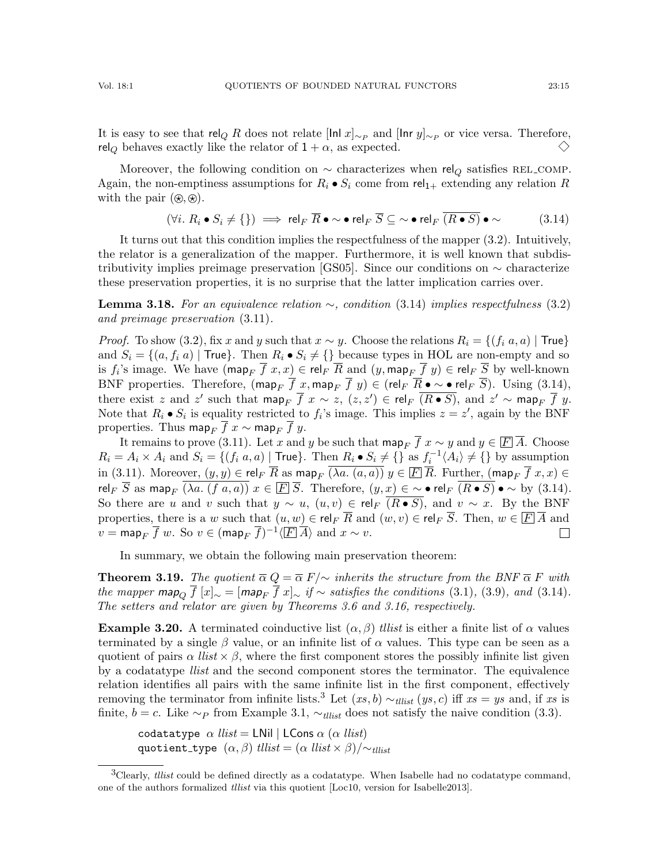It is easy to see that rel<sub>Q</sub> R does not relate [lnl x]<sub>∼P</sub> and [lnr y]<sub>∼P</sub> or vice versa. Therefore, rel<sub>Q</sub> behaves exactly like the relator of  $1 + \alpha$ , as expected.  $\diamondsuit$ 

Moreover, the following condition on  $\sim$  characterizes when rel<sub>Q</sub> satisfies REL\_COMP. Again, the non-emptiness assumptions for  $R_i \bullet S_i$  come from rel<sub>1+</sub> extending any relation R with the pair  $(\mathcal{D}, \mathcal{D})$ .

<span id="page-14-0"></span>
$$
(\forall i. \ R_i \bullet S_i \neq \{\}) \implies \text{rel}_F \ \overline{R} \bullet \sim \bullet \ \text{rel}_F \ \overline{S} \subseteq \sim \bullet \ \text{rel}_F \ \overline{(R \bullet S)} \bullet \sim \tag{3.14}
$$

It turns out that this condition implies the respectfulness of the mapper [\(3.2\)](#page-6-2). Intuitively, the relator is a generalization of the mapper. Furthermore, it is well known that subdis-tributivity implies preimage preservation [\[GS05\]](#page-25-13). Since our conditions on  $\sim$  characterize these preservation properties, it is no surprise that the latter implication carries over.

**Lemma 3.18.** For an equivalence relation  $\sim$ , condition [\(3.14\)](#page-14-0) implies respectfulness [\(3.2\)](#page-6-2) and preimage preservation [\(3.11\)](#page-11-1).

*Proof.* To show [\(3.2\)](#page-6-2), fix x and y such that  $x \sim y$ . Choose the relations  $R_i = \{(f_i \ a, a) \mid \text{True}\}$ and  $S_i = \{(a, f_i, a) \mid \text{True}\}\.$  Then  $R_i \bullet S_i \neq \{\}\$  because types in HOL are non-empty and so is  $f_i$ 's image. We have  $(\textsf{map}_F~f~x,x) \in \textsf{rel}_F~R$  and  $(y,\textsf{map}_F~f~y) \in \textsf{rel}_F~S$  by well-known BNF properties. Therefore,  $(\text{map}_F \overline{f} x, \text{map}_F \overline{f} y) \in (\text{rel}_F \overline{R} \bullet \sim \bullet \text{ rel}_F \overline{S})$ . Using [\(3.14\)](#page-14-0), there exist z and z' such that  $\textsf{map}_F \overline{f}$   $x \sim z$ ,  $(z, z') \in \textsf{rel}_F$   $\overline{(R \bullet S)}$ , and  $z' \sim \textsf{map}_F \overline{f}$   $y$ . Note that  $R_i \bullet S_i$  is equality restricted to  $f_i$ 's image. This implies  $z = z'$ , again by the BNF properties. Thus map<sub>F</sub>  $\overline{f}$  x ∼ map<sub>F</sub>  $\overline{f}$  y.

It remains to prove [\(3.11\)](#page-11-1). Let x and y be such that  $\operatorname{map}_F \overline{f}$  x ∼ y and  $y \in \overline{F} \overline{A}$ . Choose  $R_i = A_i \times A_i$  and  $S_i = \{(f_i, a, a) \mid \text{True}\}\.$  Then  $R_i \bullet S_i \neq \{\}$  as  $f_i^{-1} \langle A_i \rangle \neq \{\}$  by assumption in [\(3.11\)](#page-11-1). Moreover,  $(y, y) \in \text{rel}_F \overline{R}$  as map<sub>F</sub>  $\overline{(\lambda a. (a, a))} y \in \overline{F} \overline{R}$ . Further,  $(\text{map}_F \overline{f} x, x) \in$ rel<sub>F</sub>  $\overline{S}$  as map<sub>F</sub>  $\overline{(\lambda a. (f a, a))} x \in \overline{F} \overline{S}$ . Therefore,  $(y, x) \in \sim \bullet$  rel<sub>F</sub>  $\overline{(R \bullet S)} \bullet \sim$  by [\(3.14\)](#page-14-0). So there are u and v such that  $y \sim u$ ,  $(u, v) \in rel_F$   $\overline{(R \bullet S)}$ , and  $v \sim x$ . By the BNF properties, there is a w such that  $(u, w) \in \text{rel}_F \overline{R}$  and  $(w, v) \in \text{rel}_F \overline{S}$ . Then,  $w \in \overline{F} \overline{A}$  and  $v = \mathsf{map}_F \overline{f} w$ . So  $v \in (\mathsf{map}_F \overline{f})^{-1} \langle \boxed{F} \overline{A} \rangle$  and  $x \sim v$ .  $\Box$ 

In summary, we obtain the following main preservation theorem:

<span id="page-14-2"></span>**Theorem 3.19.** The quotient  $\overline{\alpha} Q = \overline{\alpha} F/\sim$  inherits the structure from the BNF  $\overline{\alpha} F$  with the mapper map<sub>O</sub>  $\overline{f}$  [x]<sub>∼</sub> = [map<sub>F</sub>  $\overline{f}$  x]<sub>∼</sub> if ~ satisfies the conditions [\(3.1\)](#page-6-1), [\(3.9\)](#page-9-1), and [\(3.14\)](#page-14-0). The setters and relator are given by Theorems [3.6](#page-9-0) and [3.16,](#page-12-4) respectively.

<span id="page-14-3"></span>**Example 3.20.** A terminated coinductive list  $(\alpha, \beta)$  tilist is either a finite list of  $\alpha$  values terminated by a single  $\beta$  value, or an infinite list of  $\alpha$  values. This type can be seen as a quotient of pairs  $\alpha$  *llist*  $\times$   $\beta$ , where the first component stores the possibly infinite list given by a codatatype *llist* and the second component stores the terminator. The equivalence relation identifies all pairs with the same infinite list in the first component, effectively removing the terminator from infinite lists.<sup>[3](#page-14-1)</sup> Let  $(xs, b) \sim_{tilist} (ys, c)$  iff  $xs = ys$  and, if xs is finite,  $b = c$ . Like  $\sim_P$  from Example [3.1,](#page-6-6)  $\sim_{tllist}$  does not satisfy the naive condition [\(3.3\)](#page-6-7).

codatatype  $\alpha$  *llist* = LNil | LCons  $\alpha$  ( $\alpha$  *llist*) quotient\_type  $(\alpha, \beta)$  tllist =  $(\alpha \text{ list} \times \beta)/\sim_{\text{tilist}}$ 

<span id="page-14-1"></span> ${}^{3}$ Clearly, *tllist* could be defined directly as a codatatype. When Isabelle had no codatatype command, one of the authors formalized tllist via this quotient [\[Loc10,](#page-26-16) version for Isabelle2013].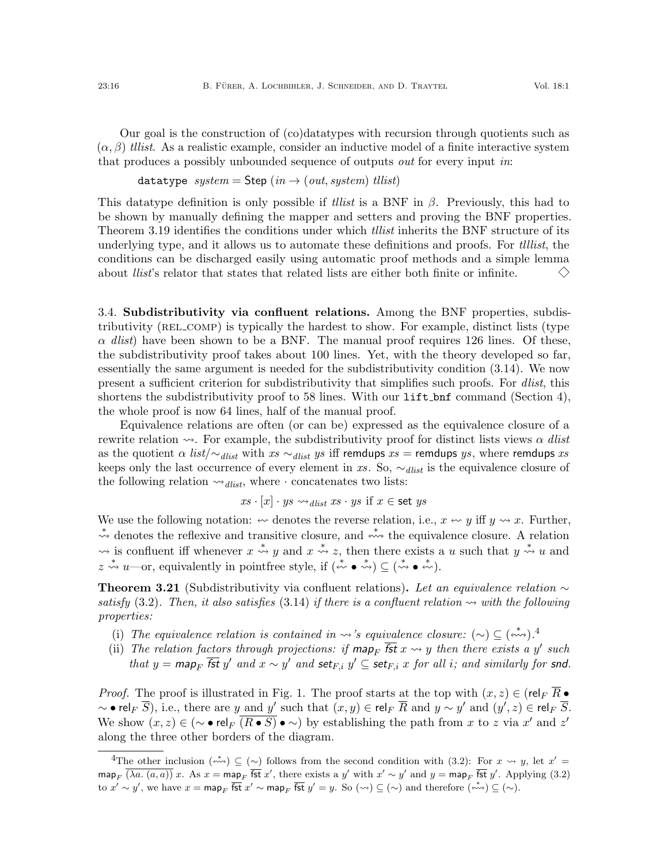Our goal is the construction of (co)datatypes with recursion through quotients such as  $(\alpha, \beta)$  tllist. As a realistic example, consider an inductive model of a finite interactive system that produces a possibly unbounded sequence of outputs *out* for every input in:

datatype  $system =$  Step  $(in \rightarrow (out, system)$  tllist)

This datatype definition is only possible if *tllist* is a BNF in  $\beta$ . Previously, this had to be shown by manually defining the mapper and setters and proving the BNF properties. Theorem [3.19](#page-14-2) identifies the conditions under which *tilist* inherits the BNF structure of its underlying type, and it allows us to automate these definitions and proofs. For *tillist*, the conditions can be discharged easily using automatic proof methods and a simple lemma about *llist*'s relator that states that related lists are either both finite or infinite.  $\Leftrightarrow$ 

<span id="page-15-0"></span>3.4. Subdistributivity via confluent relations. Among the BNF properties, subdistributivity (REL\_COMP) is typically the hardest to show. For example, distinct lists (type  $\alpha$  dlist) have been shown to be a BNF. The manual proof requires 126 lines. Of these, the subdistributivity proof takes about 100 lines. Yet, with the theory developed so far, essentially the same argument is needed for the subdistributivity condition [\(3.14\)](#page-14-0). We now present a sufficient criterion for subdistributivity that simplifies such proofs. For dlist, this shortens the subdistributivity proof to 58 lines. With our  $\text{lift\_bnf}$  command (Section [4\)](#page-20-0), the whole proof is now 64 lines, half of the manual proof.

Equivalence relations are often (or can be) expressed as the equivalence closure of a rewrite relation  $\sim$ . For example, the subdistributivity proof for distinct lists views  $\alpha$  dlist as the quotient  $\alpha$  list/ $\sim$ <sub>dlist</sub> with xs  $\sim$ <sub>dlist</sub> ys iff remdups xs = remdups ys, where remdups xs keeps only the last occurrence of every element in xs. So,  $\sim_{\text{dist}}$  is the equivalence closure of the following relation  $\leadsto_{\text{dlist}}$ , where  $\cdot$  concatenates two lists:

$$
xs \cdot [x] \cdot ys \leadsto_{\text{dist}} xs \cdot ys \text{ if } x \in \text{set } ys
$$

We use the following notation:  $\leftrightarrow$  denotes the reverse relation, i.e.,  $x \leftrightarrow y$  iff  $y \leftrightarrow x$ . Further, \* denotes the reflexive and transitive closure, and  $\stackrel{*}{\leftrightsquigarrow}$  the equivalence closure. A relation → is confluent iff whenever  $x \stackrel{*}{\rightsquigarrow} y$  and  $x \stackrel{*}{\rightsquigarrow} z$ , then there exists a u such that  $y \stackrel{*}{\rightsquigarrow} u$  and  $z \stackrel{*}{\leadsto} u$ —or, equivalently in pointfree style, if  $(\stackrel{*}{\leadsto} \bullet \stackrel{*}{\leadsto}) \subseteq (\stackrel{*}{\leadsto} \bullet \stackrel{*}{\leadsto}).$ 

<span id="page-15-1"></span>**Theorem 3.21** (Subdistributivity via confluent relations). Let an equivalence relation  $\sim$ satisfy [\(3.2\)](#page-6-2). Then, it also satisfies [\(3.14\)](#page-14-0) if there is a confluent relation  $\sim$  with the following properties:

- <span id="page-15-3"></span>(i) The equivalence relation is contained in  $\rightsquigarrow$ 's equivalence closure:  $(\sim) \subseteq (\stackrel{*}{\leftrightsquigarrow})$ .<sup>[4](#page-15-2)</sup>
- <span id="page-15-4"></span>(ii) The relation factors through projections: if  $\mathsf{map}_F$   $\overline{\mathsf{fst}}\ x \leadsto y$  then there exists a y' such that  $y = \text{map}_F$   $\overline{\text{fst}}\ y'$  and  $x \sim y'$  and  $\text{set}_{F,i} y' \subseteq \text{set}_{F,i}$  x for all i; and similarly for snd.

*Proof.* The proof is illustrated in Fig. [1.](#page-16-0) The proof starts at the top with  $(x, z) \in (\text{rel}_F \overline{R} \bullet$  $\sim$  • rel $_F$   $\overline{S}$ ), i.e., there are y and y' such that  $(x, y) \in$  rel $_F$   $\overline{R}$  and  $y \sim y'$  and  $(y', z) \in$  rel $_F$   $\overline{S}$ . We show  $(x, z) \in (\sim \bullet \text{ rel}_F \overline{(R \bullet S)} \bullet \sim)$  by establishing the path from x to z via x' and z' along the three other borders of the diagram.

<span id="page-15-2"></span><sup>&</sup>lt;sup>4</sup>The other inclusion  $({\stackrel{*}{\leftrightarrow}}) \subseteq (\sim)$  follows from the second condition with [\(3.2\)](#page-6-2): For  $x \rightsquigarrow y$ , let  $x' =$  $\text{map}_F$   $\overline{(\lambda a. (a, a))} x$ . As  $x = \text{map}_F$   $\overline{\text{fst}}\ x'$ , there exists a y' with  $x' \sim y'$  and  $y = \text{map}_F$   $\overline{\text{fst}}\ y'$ . Applying [\(3.2\)](#page-6-2) to  $x' \sim y'$ , we have  $x = \text{map}_F$   $\overline{\text{fst}}\ x' \sim \text{map}_F$   $\overline{\text{fst}}\ y' = y$ . So  $(\leadsto) \subseteq (\sim)$  and therefore  $\overline{(\stackrel{*}{\leftrightsquigarrow})} \subseteq (\sim)$ .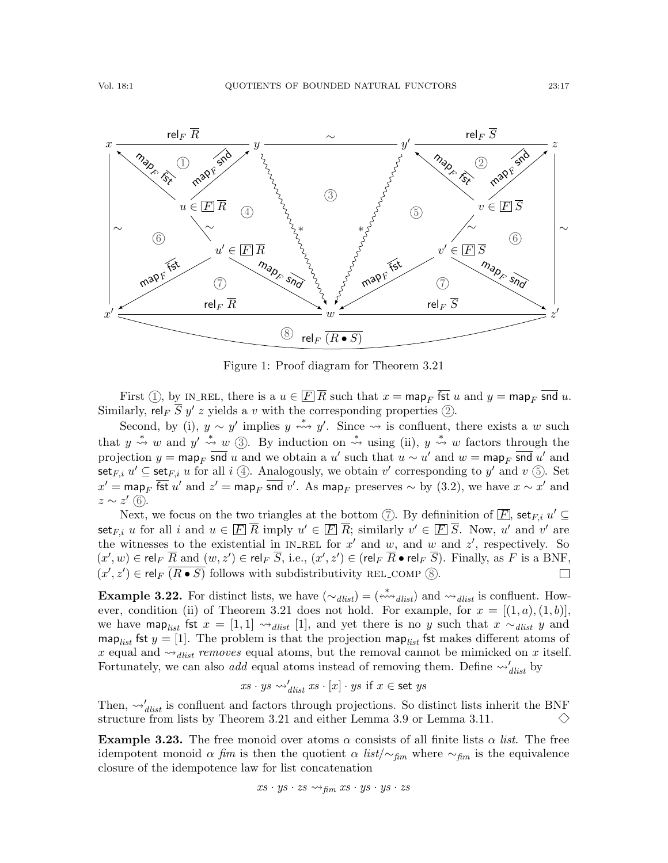

<span id="page-16-0"></span>Figure 1: Proof diagram for Theorem [3.21](#page-15-1)

First (1), by IN\_REL, there is a  $u \in \mathbb{F}[\overline{R}]$  such that  $x = \text{map}_F$  fst u and  $y = \text{map}_F$  snd u. Similarly, rel<sub>F</sub>  $\overline{S}$   $y'$  z yields a v with the corresponding properties  $(2)$ .

Second, by [\(i\),](#page-15-3)  $y \sim y'$  implies  $y \stackrel{*}{\leftrightsquigarrow} y'$ . Since  $\rightsquigarrow$  is confluent, there exists a w such that  $y \stackrel{*}{\rightsquigarrow} w$  and  $y' \stackrel{*}{\rightsquigarrow} w$  (3). By induction on  $\stackrel{*}{\rightsquigarrow} w$  sing [\(ii\),](#page-15-4)  $y \stackrel{*}{\rightsquigarrow} w$  factors through the projection  $y = \text{map}_F$  snd u and we obtain a u' such that  $u \sim u'$  and  $w = \text{map}_F$  snd u' and set<sub>F,i</sub>  $u' \subseteq$  set<sub>F,i</sub> u for all i ①. Analogously, we obtain v' corresponding to y' and v ⑤. Set  $x' = \mathsf{map}_F$  fst  $u'$  and  $z' = \mathsf{map}_F$  snd  $v'$ . As  $\mathsf{map}_F$  preserves  $\sim$  by [\(3.2\)](#page-6-2), we have  $x \sim x'$  and  $z \sim z'$  (6).

Next, we focus on the two triangles at the bottom  $\circled{7}$ . By defininition of  $\overline{F}$ , set<sub>F,i</sub>  $u' \subseteq$ set<sub>F,i</sub> u for all i and  $u \in \boxed{F}$   $\overline{R}$  imply  $u' \in \boxed{F}$   $\overline{R}$ ; similarly  $v' \in \boxed{F}$   $\overline{S}$ . Now, u' and v' are the witnesses to the existential in IN\_REL for  $x'$  and  $w$ , and  $w$  and  $z'$ , respectively. So  $(x', w) \in \text{rel}_F \overline{R}$  and  $(w, z') \in \text{rel}_F \overline{S}$ , i.e.,  $(x', z') \in (\text{rel}_F \overline{R} \bullet \text{rel}_F \overline{S})$ . Finally, as F is a BNF,  $(x', z') \in \text{rel}_F$   $\overline{(R \bullet S)}$  follows with subdistributivity REL\_COMP  $\circledS$ .  $\Box$ 

<span id="page-16-1"></span>**Example 3.22.** For distinct lists, we have  $(\sim_{\text{dlist}}) = (\star_{\text{dlist}})$  and  $\sim_{\text{dlist}}$  is confluent. How-ever, condition [\(ii\)](#page-15-4) of Theorem [3.21](#page-15-1) does not hold. For example, for  $x = [(1, a), (1, b)],$ we have map<sub>list</sub> fst  $x = [1, 1] \leadsto_{dlist} [1]$ , and yet there is no y such that  $x \sim_{dlist} y$  and map<sub>list</sub> fst  $y = [1]$ . The problem is that the projection map<sub>list</sub> fst makes different atoms of x equal and  $\rightsquigarrow_{dlist}$  removes equal atoms, but the removal cannot be mimicked on x itself. Fortunately, we can also *add* equal atoms instead of removing them. Define  $\rightsquigarrow'_{dist}$  by

$$
xs \cdot ys \leadsto_{dlist}' xs \cdot [x] \cdot ys \text{ if } x \in \textsf{set } ys
$$

Then,  $\omega'_{dlist}$  is confluent and factors through projections. So distinct lists inherit the BNF structure from lists by Theorem [3.21](#page-15-1) and either Lemma [3.9](#page-10-1) or Lemma [3.11.](#page-11-0)

**Example 3.23.** The free monoid over atoms  $\alpha$  consists of all finite lists  $\alpha$  *list*. The free idempotent monoid  $\alpha$  fim is then the quotient  $\alpha$  list/∼<sub>fim</sub> where ∼<sub>fim</sub> is the equivalence closure of the idempotence law for list concatenation

$$
xs\cdot ys\cdot zs \leadsto_{\textit{fim}} xs\cdot ys\cdot ys\cdot zs
$$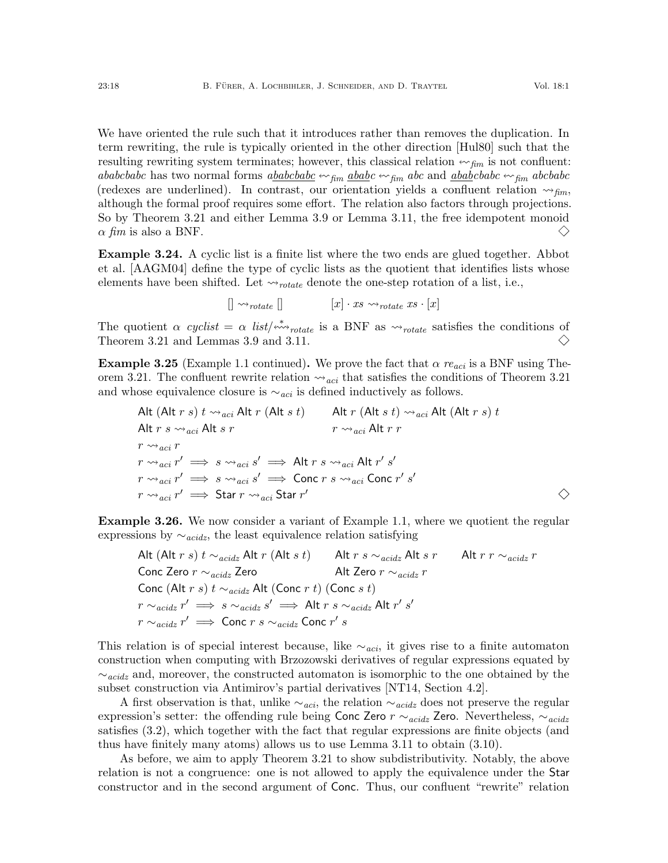We have oriented the rule such that it introduces rather than removes the duplication. In term rewriting, the rule is typically oriented in the other direction [\[Hul80\]](#page-26-17) such that the resulting rewriting system terminates; however, this classical relation  $\leftarrow$   $f_{\text{fim}}$  is not confluent: ababcbabc has two normal forms  $a\underline{b}abab\underline{c} \leftrightarrow_{\text{fin}} \underline{a}bab\underline{c} \leftrightarrow_{\text{fin}} \underline{a}bc$  and  $\underline{a}bab\underline{c}babc \leftrightarrow_{\text{fin}} \underline{a}bc\underline{b}abc$ (redexes are underlined). In contrast, our orientation yields a confluent relation  $\leadsto_{\text{fin}}$ , although the formal proof requires some effort. The relation also factors through projections. So by Theorem [3.21](#page-15-1) and either Lemma [3.9](#page-10-1) or Lemma [3.11,](#page-11-0) the free idempotent monoid  $\alpha$  fim is also a BNF.  $\diamondsuit$ 

Example 3.24. A cyclic list is a finite list where the two ends are glued together. Abbot et al. [\[AAGM04\]](#page-25-14) define the type of cyclic lists as the quotient that identifies lists whose elements have been shifted. Let  $\leadsto_{rotate}$  denote the one-step rotation of a list, i.e.,

 $[] \leadsto_{rotate} []$   $[x] \cdot xs \leadsto_{rotate} xs \cdot [x]$ 

The quotient  $\alpha$  cyclist =  $\alpha$  list/ $\stackrel{*}{\leftrightarrow}$  rotate is a BNF as  $\rightsquigarrow$  rotate satisfies the conditions of Theorem [3.21](#page-15-1) and Lemmas [3.9](#page-10-1) and [3.11.](#page-11-0)  $\left\langle {}\right\rangle$ 

**Example 3.25** (Example [1.1](#page-2-1) continued). We prove the fact that  $\alpha$  re<sub>aci</sub> is a BNF using The-orem [3.21.](#page-15-1) The confluent rewrite relation  $\rightsquigarrow_{aci}$  that satisfies the conditions of Theorem [3.21](#page-15-1) and whose equivalence closure is  $\sim_{aci}$  is defined inductively as follows.

\nAlt (Alt 
$$
r s
$$
)  $t \rightsquigarrow_{aci} Alt r$  (Alt  $s t$ )  $\qquad$  Alt  $r$  (Alt  $s t$ )  $\rightsquigarrow_{aci} Alt r s \rightsquigarrow_{aci} Alt s r$   $r \rightsquigarrow_{aci} Alt r r$   $r \rightsquigarrow_{aci} r$   $r \rightsquigarrow_{aci} r' \implies s \rightsquigarrow_{aci} s' \implies$  Alt  $r s \rightsquigarrow_{aci} Alt r' s'$   $r \rightsquigarrow_{aci} r' \implies s \rightsquigarrow_{aci} s' \implies$  Conc  $r s \rightsquigarrow_{aci}$  Conc  $r' s'$   $r \rightsquigarrow_{aci} r' \implies$  Star  $r \rightsquigarrow_{aci}$  Star  $r'$   $\qquad \diamond$ \n

<span id="page-17-0"></span>Example 3.26. We now consider a variant of Example [1.1,](#page-2-1) where we quotient the regular expressions by  $\sim_{acidz}$ , the least equivalence relation satisfying

\n
$$
\text{Alt } (\text{Alt } r \ s) \ t \sim_{\text{acidz}} \text{Alt } r \ (\text{Alt } s \ t)
$$
\n
$$
\text{Alt } r \ s \sim_{\text{acidz}} \text{Alt } s \ r
$$
\n
$$
\text{Cont } \text{Zero } r \sim_{\text{acidz}} r
$$
\n
$$
\text{Cont } (\text{Alt } r \ s) \ t \sim_{\text{acidz}} \text{Alt } (\text{Conc } r \ t) \ (\text{Conc } s \ t)
$$
\n
$$
r \sim_{\text{acidz}} r' \implies s \sim_{\text{acidz}} s' \implies \text{Alt } r \ s \sim_{\text{acidz}} \text{Alt } r' \ s'
$$
\n
$$
r \sim_{\text{acidz}} r' \implies \text{Conc } r \ s \sim_{\text{acidz}} \text{Conc } r' \ s
$$
\n

This relation is of special interest because, like  $\sim_{aci}$ , it gives rise to a finite automaton construction when computing with Brzozowski derivatives of regular expressions equated by  $\sim_{\text{acidz}}$  and, moreover, the constructed automaton is isomorphic to the one obtained by the subset construction via Antimirov's partial derivatives [\[NT14,](#page-26-13) Section 4.2].

A first observation is that, unlike  $\sim_{aci}$ , the relation  $\sim_{acidz}$  does not preserve the regular expression's setter: the offending rule being Conc Zero  $r \sim_{acidz}$  Zero. Nevertheless,  $\sim_{acidz}$ satisfies [\(3.2\)](#page-6-2), which together with the fact that regular expressions are finite objects (and thus have finitely many atoms) allows us to use Lemma 3.[11](#page-11-0) to obtain [\(3.10\)](#page-10-0).

As before, we aim to apply Theorem [3.21](#page-15-1) to show subdistributivity. Notably, the above relation is not a congruence: one is not allowed to apply the equivalence under the Star constructor and in the second argument of Conc. Thus, our confluent "rewrite" relation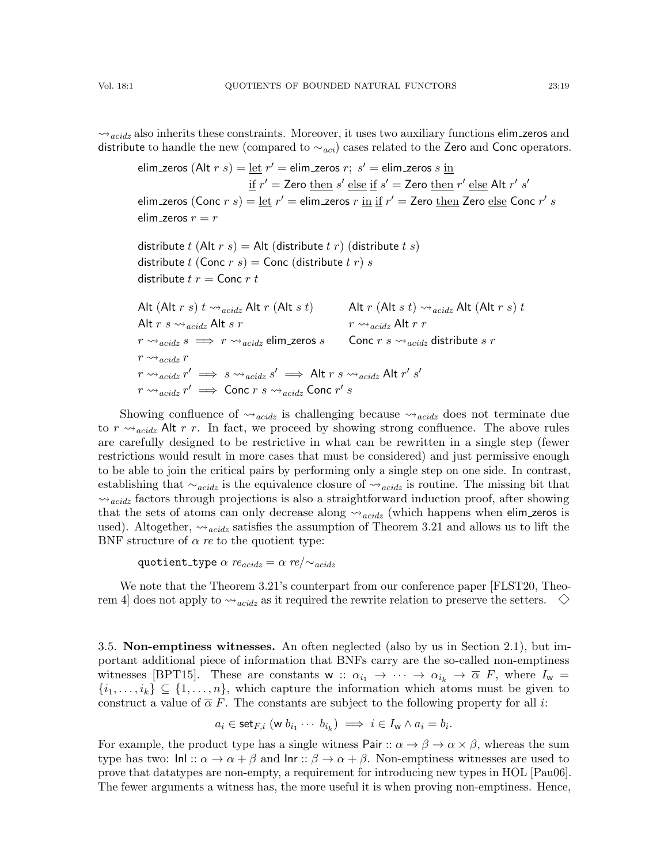$\rightsquigarrow$ <sub>acidz</sub> also inherits these constraints. Moreover, it uses two auxiliary functions elim zeros and distribute to handle the new (compared to  $\sim_{aci}$ ) cases related to the Zero and Conc operators.

```
elim_zeros (Alt r s) = \underline{\text{let}} r' = elim_zeros r; s' = elim_zeros s \underline{\text{in}}\underline{\mathrm{if}}\ r' = \mathsf{Zero}\ \underline{\mathrm{then}}\ s' \ \underline{\mathrm{else}}\ \underline{\mathrm{if}}\ s' = \mathsf{Zero}\ \underline{\mathrm{then}}\ r' \ \underline{\mathrm{else}}\ \mathsf{Alt}\ r'\ s'elim zeros (Conc r s) = \underline{\text{let}} \ r' = \text{elim}\text{.}zeros r \underline{\text{ in}} \underline{\text{ if}} \ r' = \text{Zero } \underline{\text{then}} \ \text{Zero } \underline{\text{else}} \ \text{Conc } r' \ selim zeros r = rdistribute t (Alt r s) = Alt (distribute t r) (distribute t s)
distribute t (Conc r s) = Conc (distribute t r) s
distribute t r = Conc r tAlt (Alt r s) t \rightsquigarrow \alpha_{\text{cridz}} Alt r (Alt s t) \alpha acidz Alt (Alt r s) t
Alt r s \leadsto_{acidz} Alt s r r \leadsto_{acidz} Alt r rr \rightsquigarrow_{acidz} s \implies r \rightsquigarrow_{acidz} elim zeros s Conc r s \rightsquigarrow_{acidz} distribute s r
r \rightsquigarrow_{\text{acids}} rr \rightsquigarrow_{\textit{acidz}} r' \implies s \rightsquigarrow_{\textit{acidz}} s' \implies \mathsf{Alt}\; r\; s \rightsquigarrow_{\textit{acidz}} \mathsf{Alt}\; r'\; s'r \rightsquigarrow_{\mathit{acidz}} r' \implies \mathsf{Conc}\; r \; s \rightsquigarrow_{\mathit{acidz}} \mathsf{Conc}\; r' \; s
```
Showing confluence of  $\leadsto$ <sub>acidz</sub> is challenging because  $\leadsto$ <sub>acidz</sub> does not terminate due to  $r \rightsquigarrow_{\text{acidiz}}$  Alt r r. In fact, we proceed by showing strong confluence. The above rules are carefully designed to be restrictive in what can be rewritten in a single step (fewer restrictions would result in more cases that must be considered) and just permissive enough to be able to join the critical pairs by performing only a single step on one side. In contrast, establishing that  $\sim_{acidz}$  is the equivalence closure of  $\sim_{acidz}$  is routine. The missing bit that  $\rightsquigarrow$ <sub>acidz</sub> factors through projections is also a straightforward induction proof, after showing that the sets of atoms can only decrease along  $\leadsto_{acidz}$  (which happens when elim zeros is used). Altogether,  $\rightsquigarrow_{acidz}$  satisfies the assumption of Theorem [3.21](#page-15-1) and allows us to lift the BNF structure of  $\alpha$  re to the quotient type:

quotient\_type  $\alpha$  re $_{acidz} = \alpha$  re/ $\sim_{acidz}$ 

We note that the Theorem [3.21'](#page-15-1)s counterpart from our conference paper [\[FLST20,](#page-25-9) Theorem 4 does not apply to  $\rightsquigarrow_{acidz}$  as it required the rewrite relation to preserve the setters.  $\diamondsuit$ 

<span id="page-18-0"></span>3.5. Non-emptiness witnesses. An often neglected (also by us in Section [2.1\)](#page-4-0), but important additional piece of information that BNFs carry are the so-called non-emptiness witnesses [\[BPT15\]](#page-25-10). These are constants w ::  $\alpha_{i_1} \rightarrow \cdots \rightarrow \alpha_{i_k} \rightarrow \overline{\alpha}$  F, where  $I_w =$  $\{i_1, \ldots, i_k\} \subseteq \{1, \ldots, n\}$ , which capture the information which atoms must be given to construct a value of  $\overline{\alpha} F$ . The constants are subject to the following property for all *i*:

$$
a_i \in \mathsf{set}_{F,i} \; (\mathsf{w} \; b_{i_1} \cdots \; b_{i_k}) \implies i \in I_\mathsf{w} \land a_i = b_i.
$$

For example, the product type has a single witness Pair ::  $\alpha \to \beta \to \alpha \times \beta$ , whereas the sum type has two:  $\text{InL}: \alpha \to \alpha + \beta$  and  $\text{Inr}: \beta \to \alpha + \beta$ . Non-emptiness witnesses are used to prove that datatypes are non-empty, a requirement for introducing new types in HOL [\[Pau06\]](#page-26-11). The fewer arguments a witness has, the more useful it is when proving non-emptiness. Hence,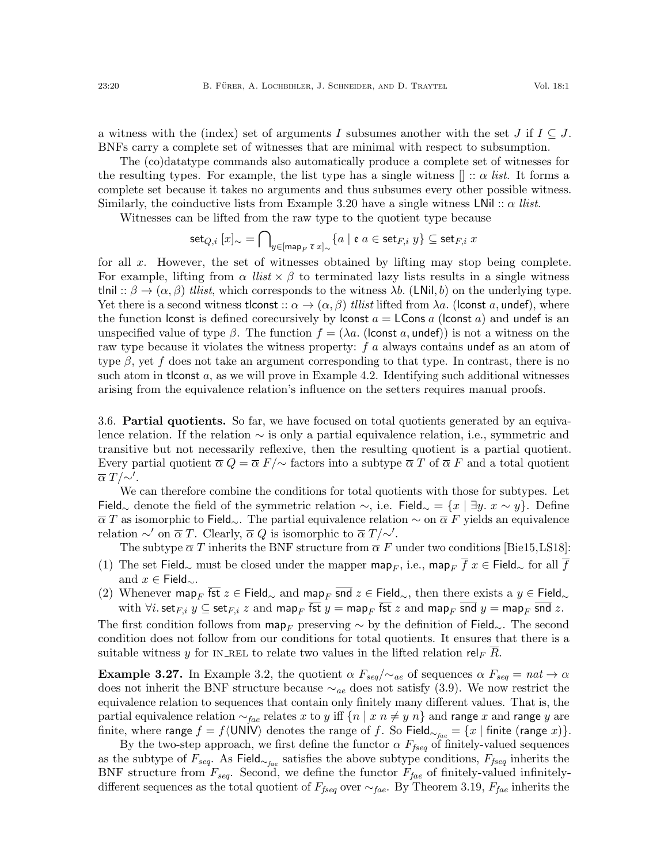a witness with the (index) set of arguments I subsumes another with the set J if  $I \subseteq J$ . BNFs carry a complete set of witnesses that are minimal with respect to subsumption.

The (co)datatype commands also automatically produce a complete set of witnesses for the resulting types. For example, the list type has a single witness  $[] :: \alpha$  list. It forms a complete set because it takes no arguments and thus subsumes every other possible witness. Similarly, the coinductive lists from Example [3.20](#page-14-3) have a single witness LNil ::  $\alpha$  llist.

Witnesses can be lifted from the raw type to the quotient type because

$$
\mathsf{set}_{Q,i}[x]_\sim = \bigcap\nolimits_{y\in[\mathsf{map}_F\ \overline{\mathfrak{e}}\ x]_\sim}\{a\ |\ \mathfrak{e}\ a\in\mathsf{set}_{F,i}\ y\}\subseteq\mathsf{set}_{F,i}\ x
$$

for all  $x$ . However, the set of witnesses obtained by lifting may stop being complete. For example, lifting from  $\alpha$  *llist*  $\times \beta$  to terminated lazy lists results in a single witness tlnil ::  $\beta \rightarrow (\alpha, \beta)$  tllist, which corresponds to the witness  $\lambda b$ . (LNil, b) on the underlying type. Yet there is a second witness tlconst ::  $\alpha \to (\alpha, \beta)$  tillist lifted from  $\lambda a$ . (lconst a, undef), where the function lconst is defined corecursively by lconst  $a = L$ Const a and undef is an unspecified value of type  $\beta$ . The function  $f = (\lambda a)$ . (loonst a, undef)) is not a witness on the raw type because it violates the witness property: f a always contains undef as an atom of type  $\beta$ , yet f does not take an argument corresponding to that type. In contrast, there is no such atom in tlconst  $a$ , as we will prove in Example [4.2.](#page-21-1) Identifying such additional witnesses arising from the equivalence relation's influence on the setters requires manual proofs.

<span id="page-19-0"></span>3.6. Partial quotients. So far, we have focused on total quotients generated by an equivalence relation. If the relation ∼ is only a partial equivalence relation, i.e., symmetric and transitive but not necessarily reflexive, then the resulting quotient is a partial quotient. Every partial quotient  $\overline{\alpha} Q = \overline{\alpha} F/\sim$  factors into a subtype  $\overline{\alpha} T$  of  $\overline{\alpha} F$  and a total quotient  $\overline{\alpha} T/\sim'.$ 

We can therefore combine the conditions for total quotients with those for subtypes. Let Field∼ denote the field of the symmetric relation  $\sim$ , i.e. Field∼ =  $\{x \mid \exists y \ldots x \sim y\}$ . Define  $\overline{\alpha} T$  as isomorphic to Field<sub>∼</sub>. The partial equivalence relation  $\sim$  on  $\overline{\alpha} F$  yields an equivalence relation  $\sim'$  on  $\overline{\alpha} T$ . Clearly,  $\overline{\alpha} Q$  is isomorphic to  $\overline{\alpha} T / \sim'$ .

The subtype  $\overline{\alpha} T$  inherits the BNF structure from  $\overline{\alpha} F$  under two conditions [\[Bie15,](#page-25-5)[LS18\]](#page-26-8):

- (1) The set Field<sub>∼</sub> must be closed under the mapper map<sub>F</sub>, i.e., map<sub>F</sub>  $\overline{f}$  x  $\in$  Field<sub>∼</sub> for all  $\overline{f}$ and  $x \in \text{Field}_{\sim}$ .
- <span id="page-19-1"></span>(2) Whenever map<sub>F</sub>  $f$ st  $z \in$  Field<sub>∼</sub> and map<sub>F</sub> snd  $z \in$  Field<sub>∼</sub>, then there exists a  $y \in$  Field<sub>∼</sub> with  $\forall i$ . set $_{F,i}$   $y \subseteq$  set $_{F,i}$   $z$  and map<sub>F</sub>  $\overline{\textsf{fst}}$   $y = \textsf{map}_F$   $\overline{\textsf{fst}}$   $z$  and map<sub>F</sub>  $\overline{\textsf{snd}}$   $y = \textsf{map}_F$   $\overline{\textsf{snd}}$   $z$ .

The first condition follows from  $\mathsf{map}_F$  preserving  $\sim$  by the definition of Field<sub>∼</sub>. The second condition does not follow from our conditions for total quotients. It ensures that there is a suitable witness y for IN\_REL to relate two values in the lifted relation rel<sub>F</sub> R.

<span id="page-19-2"></span>**Example 3.27.** In Example [3.2,](#page-7-1) the quotient  $\alpha F_{seq}/\sim_{ae}$  of sequences  $\alpha F_{seq} = nat \rightarrow \alpha$ does not inherit the BNF structure because  $\sim_{ae}$  does not satisfy [\(3.9\)](#page-9-1). We now restrict the equivalence relation to sequences that contain only finitely many different values. That is, the partial equivalence relation  $\sim_{\text{fac}}$  relates x to y iff  $\{n \mid x \ n \neq y \ n\}$  and range x and range y are finite, where range  $f = f\langle \text{UNIV} \rangle$  denotes the range of f. So Field<sub>∼fae</sub> = {x | finite (range x)}.

By the two-step approach, we first define the functor  $\alpha$   $F_{fseq}$  of finitely-valued sequences as the subtype of  $F_{seq}$ . As Field<sub>∼fae</sub> satisfies the above subtype conditions,  $F_{fseq}$  inherits the BNF structure from  $F_{seq}$ . Second, we define the functor  $F_{fac}$  of finitely-valued infinitelydifferent sequences as the total quotient of  $F_{fseq}$  over  $\sim_{fae}$ . By Theorem [3.19,](#page-14-2)  $F_{fae}$  inherits the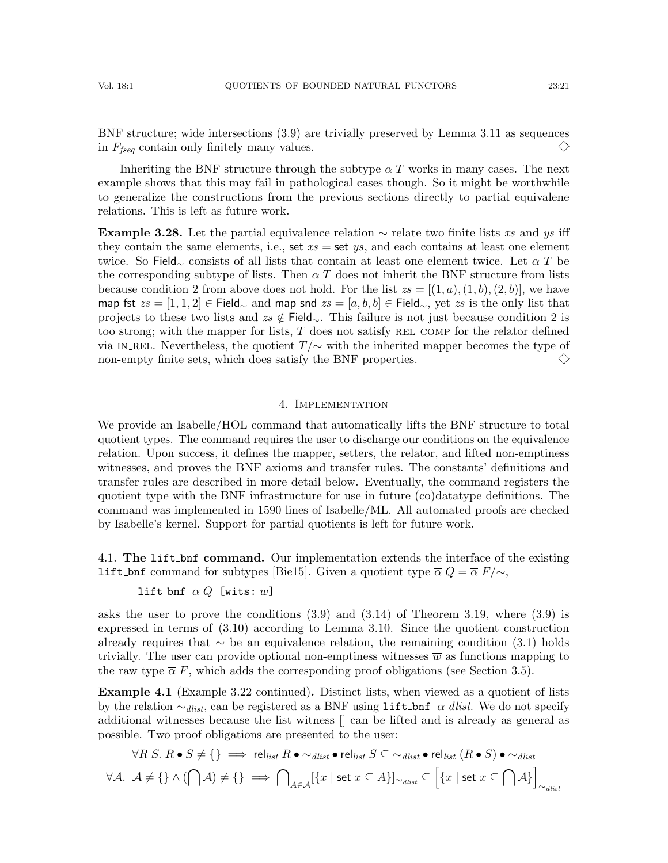BNF structure; wide intersections [\(3.9\)](#page-9-1) are trivially preserved by Lemma [3.11](#page-11-0) as sequences in  $F_{fseq}$  contain only finitely many values.  $\left\langle \right\rangle$ 

Inheriting the BNF structure through the subtype  $\overline{\alpha} T$  works in many cases. The next example shows that this may fail in pathological cases though. So it might be worthwhile to generalize the constructions from the previous sections directly to partial equivalene relations. This is left as future work.

**Example 3.28.** Let the partial equivalence relation  $\sim$  relate two finite lists xs and ys iff they contain the same elements, i.e., set  $xs =$  set  $ys$ , and each contains at least one element twice. So Field<sub>∼</sub> consists of all lists that contain at least one element twice. Let  $\alpha T$  be the corresponding subtype of lists. Then  $\alpha T$  does not inherit the BNF structure from lists because condition [2](#page-19-1) from above does not hold. For the list  $zs = [(1, a), (1, b), (2, b)]$ , we have map fst  $zs = [1, 1, 2] \in \text{Field}_{\sim}$  and map snd  $zs = [a, b, b] \in \text{Field}_{\sim}$ , yet zs is the only list that projects to these two lists and  $zs \notin$  Field∼. This failure is not just because condition [2](#page-19-1) is too strong; with the mapper for lists,  $T$  does not satisfy REL COMP for the relator defined via IN\_REL. Nevertheless, the quotient  $T/\sim$  with the inherited mapper becomes the type of non-empty finite sets, which does satisfy the BNF properties.  $\diamondsuit$ 

# 4. Implementation

<span id="page-20-0"></span>We provide an Isabelle/HOL command that automatically lifts the BNF structure to total quotient types. The command requires the user to discharge our conditions on the equivalence relation. Upon success, it defines the mapper, setters, the relator, and lifted non-emptiness witnesses, and proves the BNF axioms and transfer rules. The constants' definitions and transfer rules are described in more detail below. Eventually, the command registers the quotient type with the BNF infrastructure for use in future (co)datatype definitions. The command was implemented in 1590 lines of Isabelle/ML. All automated proofs are checked by Isabelle's kernel. Support for partial quotients is left for future work.

<span id="page-20-1"></span>4.1. The lift bnf command. Our implementation extends the interface of the existing **lift bnf** command for subtypes [\[Bie15\]](#page-25-5). Given a quotient type  $\overline{\alpha} Q = \overline{\alpha} F/\sim$ ,

lift\_bnf  $\overline{\alpha} Q$  [wits:  $\overline{w}$ ]

asks the user to prove the conditions [\(3.9\)](#page-9-1) and [\(3.14\)](#page-14-0) of Theorem [3.19,](#page-14-2) where [\(3.9\)](#page-9-1) is expressed in terms of [\(3.10\)](#page-10-0) according to Lemma [3.10.](#page-10-2) Since the quotient construction already requires that  $\sim$  be an equivalence relation, the remaining condition [\(3.1\)](#page-6-1) holds trivially. The user can provide optional non-emptiness witnesses  $\overline{w}$  as functions mapping to the raw type  $\overline{\alpha} F$ , which adds the corresponding proof obligations (see Section [3.5\)](#page-18-0).

Example 4.1 (Example [3.22](#page-16-1) continued). Distinct lists, when viewed as a quotient of lists by the relation  $\sim_{dlist}$ , can be registered as a BNF using lift\_bnf  $\alpha$  dlist. We do not specify additional witnesses because the list witness [] can be lifted and is already as general as possible. Two proof obligations are presented to the user:

$$
\forall R \ S. \ R \bullet S \neq \{\} \implies \text{rel}_{\text{list}} R \bullet \sim_{\text{dlist}} \bullet \text{rel}_{\text{list}} S \subseteq \sim_{\text{dlist}} \bullet \text{rel}_{\text{list}} (R \bullet S) \bullet \sim_{\text{dlist}} \text{val}_{\text{list}} \}
$$

$$
\forall A. \ \mathcal{A} \neq \{\} \land (\bigcap \mathcal{A}) \neq \{\} \implies \bigcap_{A \in \mathcal{A}} [\{x \mid \text{set } x \subseteq A\}]_{\sim_{\text{dlist}}} \subseteq \left[ \{x \mid \text{set } x \subseteq \bigcap \mathcal{A}\} \right]_{\sim_{\text{dlist}}} \right)
$$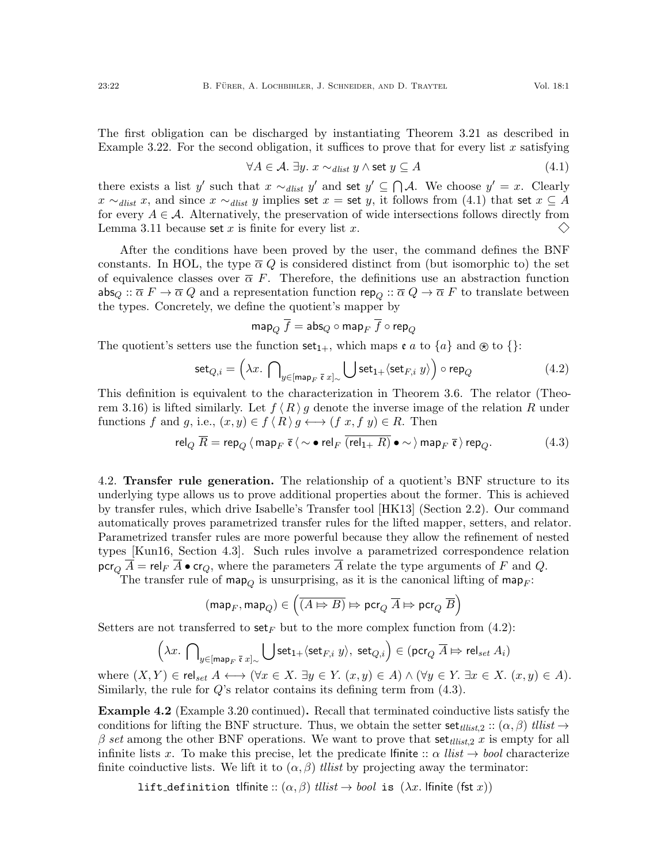The first obligation can be discharged by instantiating Theorem [3.21](#page-15-1) as described in Example [3.22.](#page-16-1) For the second obligation, it suffices to prove that for every list x satisfying

<span id="page-21-2"></span>
$$
\forall A \in \mathcal{A}. \exists y. \ x \sim_{\text{dlist}} y \land \text{set } y \subseteq A \tag{4.1}
$$

there exists a list y' such that  $x \sim_{\text{dist}} y'$  and set  $y' \subseteq \bigcap \mathcal{A}$ . We choose  $y' = x$ . Clearly  $x \sim_{\text{dist}} x$ , and since  $x \sim_{\text{dist}} y$  implies set  $x =$  set y, it follows from [\(4.1\)](#page-21-2) that set  $x \subseteq A$ for every  $A \in \mathcal{A}$ . Alternatively, the preservation of wide intersections follows directly from  $\diamondsuit$ Lemma [3.11](#page-11-0) because set x is finite for every list x.

After the conditions have been proved by the user, the command defines the BNF constants. In HOL, the type  $\overline{\alpha} Q$  is considered distinct from (but isomorphic to) the set of equivalence classes over  $\bar{\alpha}$  F. Therefore, the definitions use an abstraction function  $\mathsf{abs}_Q :: \overline{\alpha} F \to \overline{\alpha} Q$  and a representation function  $\mathsf{rep}_Q :: \overline{\alpha} Q \to \overline{\alpha} F$  to translate between the types. Concretely, we define the quotient's mapper by

$$
\mathsf{map}_Q \; \overline{f} = \mathsf{abs}_Q \circ \mathsf{map}_F \; \overline{f} \circ \mathsf{rep}_Q
$$

The quotient's setters use the function  $set_{1+}$ , which maps  $e a$  to  $\{a\}$  and  $\otimes$  to  $\{\}\$ :

<span id="page-21-3"></span>
$$
\text{set}_{Q,i} = \left(\lambda x. \bigcap_{y \in [\text{map}_F \ \bar{\mathfrak{e}} \ x]_{\sim}} \bigcup \text{set}_{1+} \langle \text{set}_{F,i} \ y \rangle \right) \circ \text{rep}_Q \tag{4.2}
$$

This definition is equivalent to the characterization in Theorem [3.6.](#page-9-0) The relator (Theo-rem [3.16\)](#page-12-4) is lifted similarly. Let  $f(R)g$  denote the inverse image of the relation R under functions f and g, i.e.,  $(x, y) \in f \langle R \rangle g \longleftrightarrow (f x, f y) \in R$ . Then

<span id="page-21-4"></span>
$$
\operatorname{rel}_Q \overline{R} = \operatorname{rep}_Q \langle \operatorname{map}_F \overline{\mathfrak{e}} \langle \sim \bullet \operatorname{rel}_F \overline{(\operatorname{rel}_{1+} R)} \bullet \sim \rangle \operatorname{map}_F \overline{\mathfrak{e}} \rangle \operatorname{rep}_Q. \tag{4.3}
$$

<span id="page-21-0"></span>4.2. Transfer rule generation. The relationship of a quotient's BNF structure to its underlying type allows us to prove additional properties about the former. This is achieved by transfer rules, which drive Isabelle's Transfer tool [\[HK13\]](#page-25-3) (Section [2.2\)](#page-5-0). Our command automatically proves parametrized transfer rules for the lifted mapper, setters, and relator. Parametrized transfer rules are more powerful because they allow the refinement of nested types [\[Kun16,](#page-26-7) Section 4.3]. Such rules involve a parametrized correspondence relation  $\operatorname{pcr}_Q \overline{A} = \operatorname{rel}_F \overline{A} \bullet \operatorname{cr}_Q$ , where the parameters  $\overline{A}$  relate the type arguments of F and Q.

The transfer rule of map<sub>Q</sub> is unsurprising, as it is the canonical lifting of map<sub>F</sub>:

$$
(\text{map}_F,\text{map}_Q)\in \left(\overline{(A\mathbin{\vDash}\Rightarrow B)}\mathbin{\vDash}\text{pcr}_Q\ \overline{A}\mathbin{\vDash}\text{pcr}_Q\ \overline{B}\right)
$$

Setters are not transferred to set<sub>F</sub> but to the more complex function from [\(4.2\)](#page-21-3):

$$
\left(\lambda x.\bigcap\nolimits_{y\in \left[\text{map}_F\right.\bar{\mathfrak{e}}\right.} \bigcup \text{set}_{1+}\langle\text{set}_{F,i}\right. y\rangle,\ \text{set}_{Q,i}\right)\in (\text{pcr}_Q\ \overline{A}\mapsto \text{rel}_{set}\ A_i)
$$

where  $(X, Y) \in \text{rel}_{set} A \longleftrightarrow (\forall x \in X \ldotp \exists y \in Y \ldotp (x, y) \in A) \land (\forall y \in Y \ldotp \exists x \in X \ldotp (x, y) \in A).$ Similarly, the rule for  $Q$ 's relator contains its defining term from  $(4.3)$ .

<span id="page-21-1"></span>Example 4.2 (Example [3.20](#page-14-3) continued). Recall that terminated coinductive lists satisfy the conditions for lifting the BNF structure. Thus, we obtain the setter set  $_{tilt{t}_1}$   $\ldots$   $(\alpha, \beta)$  tllist  $\rightarrow$  $\beta$  set among the other BNF operations. We want to prove that set  $_{ellist,2}$  x is empty for all infinite lists x. To make this precise, let the predicate lfinite  $\therefore$   $\alpha$  *llist*  $\rightarrow$  bool characterize finite coinductive lists. We lift it to  $(\alpha, \beta)$  tilist by projecting away the terminator:

lift definition tlfinite ::  $(\alpha, \beta)$  tllist  $\rightarrow bool$  is  $(\lambda x$ . lfinite (fst x))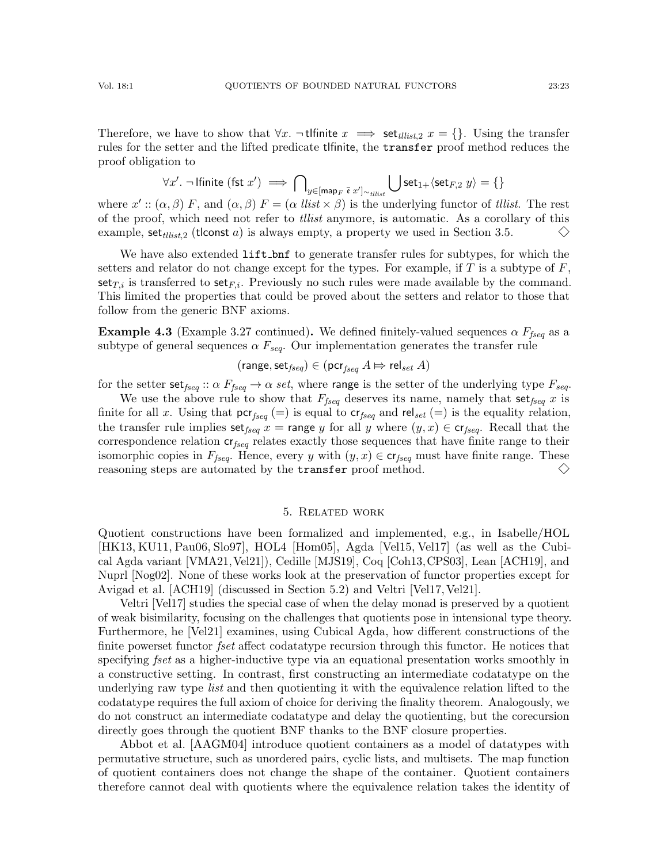Therefore, we have to show that  $\forall x$ .  $\neg$  tlfinite  $x \implies$  set<sub>tllist</sub>,  $x = \{\}$ . Using the transfer rules for the setter and the lifted predicate tlfinite, the transfer proof method reduces the proof obligation to

$$
\forall x'. \ \neg \ \text{lfinite (fst $x'$)} \implies \bigcap\nolimits_{y \in [\text{map}_F \ \bar{\mathfrak{e}} \ x']_{\sim_{\text{tilist}}}} \bigcup \text{set}_{1+} \langle \text{set}_{F,2} \ y \rangle = \{\}
$$

where  $x'$ :  $(\alpha, \beta)$  F, and  $(\alpha, \beta)$  F =  $(\alpha$  *llist*  $\times \beta)$  is the underlying functor of *tllist*. The rest of the proof, which need not refer to tllist anymore, is automatic. As a corollary of this example, set  $_{tilt}$  (tlconst a) is always empty, a property we used in Section [3.5.](#page-18-0)  $\diamondsuit$ 

We have also extended lift bnf to generate transfer rules for subtypes, for which the setters and relator do not change except for the types. For example, if  $T$  is a subtype of  $F$ ,  $set_{T,i}$  is transferred to  $set_{F,i}$ . Previously no such rules were made available by the command. This limited the properties that could be proved about the setters and relator to those that follow from the generic BNF axioms.

**Example 4.3** (Example [3.27](#page-19-2) continued). We defined finitely-valued sequences  $\alpha F_{fseq}$  as a subtype of general sequences  $\alpha F_{seq}$ . Our implementation generates the transfer rule

$$
(\mathsf{range},\mathsf{set}_{fseq}) \in (\mathsf{pcr}_{fseq} \ A \Rightarrow \mathsf{rel}_{set} \ A)
$$

for the setter set<sub>fseq</sub> ::  $\alpha F_{fseq} \to \alpha$  set, where range is the setter of the underlying type  $F_{seq}$ .

We use the above rule to show that  $F_{fseq}$  deserves its name, namely that  $\text{set}_{fseq}$  x is finite for all x. Using that  $\mathsf{pcr}_{\text{fseq}} (=)$  is equal to  $\mathsf{cr}_{\text{fseq}}$  and  $\mathsf{rel}_{\text{set}} (=)$  is the equality relation, the transfer rule implies set<sub>fseq</sub> x = range y for all y where  $(y, x) \in \mathsf{cr}_{\mathit{fseq}}$ . Recall that the correspondence relation  $cr_{\text{fseq}}$  relates exactly those sequences that have finite range to their isomorphic copies in  $F_{fseq}$ . Hence, every y with  $(y, x) \in \mathsf{cr}_{fseq}$  must have finite range. These reasoning steps are automated by the transfer proof method.  $\left\langle {}\right\rangle$ 

#### 5. Related work

<span id="page-22-0"></span>Quotient constructions have been formalized and implemented, e.g., in Isabelle/HOL [\[HK13,](#page-25-3) [KU11,](#page-26-10) [Pau06,](#page-26-11) [Slo97\]](#page-26-12), HOL4 [\[Hom05\]](#page-26-9), Agda [\[Vel15,](#page-26-18) [Vel17\]](#page-27-1) (as well as the Cubical Agda variant [\[VMA21,](#page-27-2)[Vel21\]](#page-27-3)), Cedille [\[MJS19\]](#page-26-19), Coq [\[Coh13,](#page-25-15)[CPS03\]](#page-25-16), Lean [\[ACH19\]](#page-25-0), and Nuprl [\[Nog02\]](#page-26-20). None of these works look at the preservation of functor properties except for Avigad et al. [\[ACH19\]](#page-25-0) (discussed in Section [5.2\)](#page-23-0) and Veltri [\[Vel17,](#page-27-1) [Vel21\]](#page-27-3).

Veltri [\[Vel17\]](#page-27-1) studies the special case of when the delay monad is preserved by a quotient of weak bisimilarity, focusing on the challenges that quotients pose in intensional type theory. Furthermore, he [\[Vel21\]](#page-27-3) examines, using Cubical Agda, how different constructions of the finite powerset functor *fset* affect codatatype recursion through this functor. He notices that specifying *fset* as a higher-inductive type via an equational presentation works smoothly in a constructive setting. In contrast, first constructing an intermediate codatatype on the underlying raw type *list* and then quotienting it with the equivalence relation lifted to the codatatype requires the full axiom of choice for deriving the finality theorem. Analogously, we do not construct an intermediate codatatype and delay the quotienting, but the corecursion directly goes through the quotient BNF thanks to the BNF closure properties.

Abbot et al. [\[AAGM04\]](#page-25-14) introduce quotient containers as a model of datatypes with permutative structure, such as unordered pairs, cyclic lists, and multisets. The map function of quotient containers does not change the shape of the container. Quotient containers therefore cannot deal with quotients where the equivalence relation takes the identity of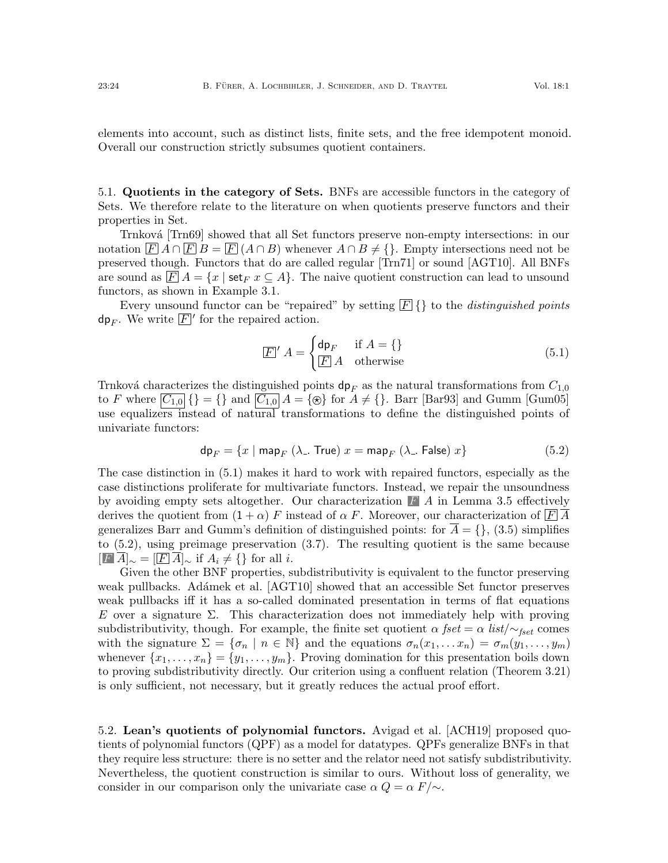elements into account, such as distinct lists, finite sets, and the free idempotent monoid. Overall our construction strictly subsumes quotient containers.

5.1. Quotients in the category of Sets. BNFs are accessible functors in the category of Sets. We therefore relate to the literature on when quotients preserve functors and their properties in Set.

Trnková [\[Trn69\]](#page-26-15) showed that all Set functors preserve non-empty intersections: in our notation  $\overline{F} A \cap \overline{F} B = \overline{F} (A \cap B)$  whenever  $A \cap B \neq \{\}$ . Empty intersections need not be preserved though. Functors that do are called regular [\[Trn71\]](#page-26-21) or sound [\[AGT10\]](#page-25-6). All BNFs are sound as  $\overline{F}A = \{x \mid \text{set}_F x \subseteq A\}.$  The naive quotient construction can lead to unsound functors, as shown in Example [3.1.](#page-6-6)

Every unsound functor can be "repaired" by setting  $\boxed{F}$  {} to the *distinguished points* dp<sub>F</sub>. We write  $\boxed{F}'$  for the repaired action.

<span id="page-23-1"></span>
$$
\boxed{F}' A = \begin{cases} \mathsf{dp}_F & \text{if } A = \{\} \\ \boxed{F} A & \text{otherwise} \end{cases} \tag{5.1}
$$

Trnková characterizes the distinguished points  $dp_F$  as the natural transformations from  $C_{1,0}$ to F where  $\overline{C_{1,0}}\$  = {} and  $\overline{C_{1,0}}$  A = { $\otimes$ } for A  $\neq$  {}. Barr [\[Bar93\]](#page-25-17) and Gumm [\[Gum05\]](#page-25-12) use equalizers instead of natural transformations to define the distinguished points of univariate functors:

<span id="page-23-2"></span>
$$
\mathsf{dp}_F = \{x \mid \mathsf{map}_F \ (\lambda \_ \mathsf{True}) \ x = \mathsf{map}_F \ (\lambda \_ \mathsf{False}) \ x \} \tag{5.2}
$$

The case distinction in [\(5.1\)](#page-23-1) makes it hard to work with repaired functors, especially as the case distinctions proliferate for multivariate functors. Instead, we repair the unsoundness by avoiding empty sets altogether. Our characterization  $\Gamma$  A in Lemma [3.5](#page-8-1) effectively derives the quotient from  $(1 + \alpha) F$  instead of  $\alpha F$ . Moreover, our characterization of  $\overline{F} \overline{A}$ generalizes Barr and Gumm's definition of distinguished points: for  $\overline{A} = \{\}, (3.5)$  $\overline{A} = \{\}, (3.5)$  simplifies to [\(5.2\)](#page-23-2), using preimage preservation [\(3.7\)](#page-7-3). The resulting quotient is the same because  $[F\ \overline{A}]_{\sim} = [F\ \overline{A}]_{\sim}$  if  $A_i \neq \{\}\$ for all i.

Given the other BNF properties, subdistributivity is equivalent to the functor preserving weak pullbacks. Adámek et al. [\[AGT10\]](#page-25-6) showed that an accessible Set functor preserves weak pullbacks iff it has a so-called dominated presentation in terms of flat equations E over a signature  $\Sigma$ . This characterization does not immediately help with proving subdistributivity, though. For example, the finite set quotient  $\alpha$  fset =  $\alpha$  list/ $\sim$ <sub>fset</sub> comes with the signature  $\Sigma = {\sigma_n \mid n \in \mathbb{N}}$  and the equations  $\sigma_n(x_1, \ldots, x_n) = \sigma_m(y_1, \ldots, y_m)$ whenever  $\{x_1, \ldots, x_n\} = \{y_1, \ldots, y_m\}$ . Proving domination for this presentation boils down to proving subdistributivity directly. Our criterion using a confluent relation (Theorem [3.21\)](#page-15-1) is only sufficient, not necessary, but it greatly reduces the actual proof effort.

<span id="page-23-0"></span>5.2. Lean's quotients of polynomial functors. Avigad et al. [\[ACH19\]](#page-25-0) proposed quotients of polynomial functors (QPF) as a model for datatypes. QPFs generalize BNFs in that they require less structure: there is no setter and the relator need not satisfy subdistributivity. Nevertheless, the quotient construction is similar to ours. Without loss of generality, we consider in our comparison only the univariate case  $\alpha Q = \alpha F/\sim$ .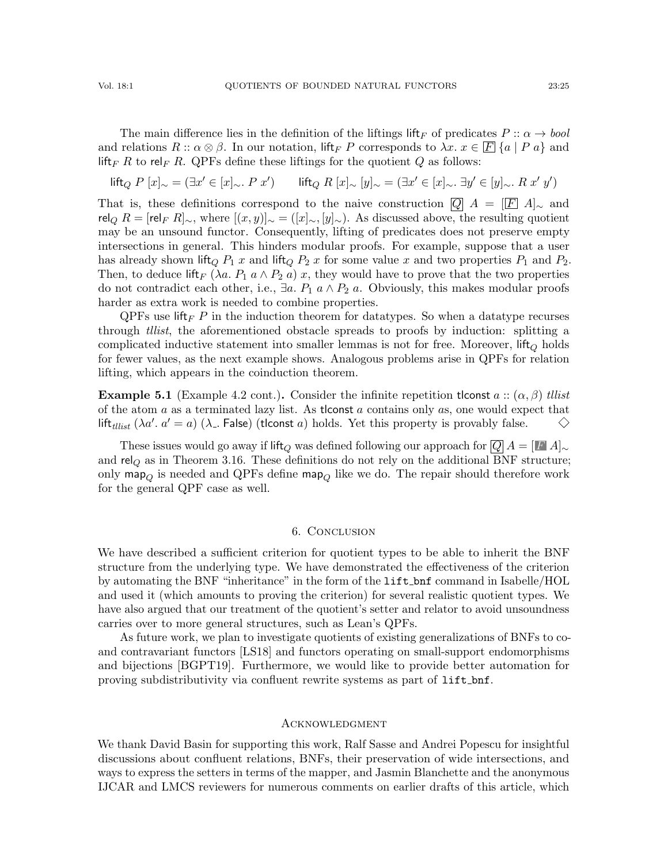The main difference lies in the definition of the liftings lift<sub>F</sub> of predicates  $P :: \alpha \rightarrow bool$ and relations  $R :: \alpha \otimes \beta$ . In our notation, lift<sub>F</sub> P corresponds to  $\lambda x. x \in \mathbb{F} \{a \mid Pa\}$  and lift<sub>F</sub> R to rel<sub>F</sub> R. QPFs define these liftings for the quotient Q as follows:

$$
\text{lift}_Q \ P \ [x]_{\sim} = (\exists x' \in [x]_{\sim}. \ P \ x') \qquad \text{lift}_Q \ R \ [x]_{\sim} \ [y]_{\sim} = (\exists x' \in [x]_{\sim}. \ \exists y' \in [y]_{\sim}. \ R \ x' \ y')
$$

That is, these definitions correspond to the naive construction  $\overline{Q}$  A =  $\overline{[F]}$  A |<sub>∼</sub> and  $rel_{\mathcal{O}} R = [rel_{F} R]_{\sim}$ , where  $[(x, y)]_{\sim} = ([x]_{\sim}, [y]_{\sim})$ . As discussed above, the resulting quotient may be an unsound functor. Consequently, lifting of predicates does not preserve empty intersections in general. This hinders modular proofs. For example, suppose that a user has already shown lift<sub>Q</sub>  $P_1$  x and lift<sub>Q</sub>  $P_2$  x for some value x and two properties  $P_1$  and  $P_2$ . Then, to deduce lift<sub>F</sub> ( $\lambda a$ .  $P_1$   $a \wedge P_2$  a) x, they would have to prove that the two properties do not contradict each other, i.e.,  $\exists a. P_1 \, a \wedge P_2 \, a$ . Obviously, this makes modular proofs harder as extra work is needed to combine properties.

 $QPFs$  use lift  $F P$  in the induction theorem for datatypes. So when a datatype recurses through tllist, the aforementioned obstacle spreads to proofs by induction: splitting a complicated inductive statement into smaller lemmas is not for free. Moreover,  $\text{lift}_Q$  holds for fewer values, as the next example shows. Analogous problems arise in QPFs for relation lifting, which appears in the coinduction theorem.

**Example 5.1** (Example [4.2](#page-21-1) cont.). Consider the infinite repetition tlconst  $a$  ::  $(\alpha, \beta)$  tllist of the atom  $a$  as a terminated lazy list. As the state a contains only  $a$ s, one would expect that lift<sub>tllist</sub> ( $\lambda a'$ .  $a' = a$ ) ( $\lambda$ . False) (tlconst a) holds. Yet this property is provably false.  $\Leftrightarrow$ 

These issues would go away if lift<sub>Q</sub> was defined following our approach for  $|Q|A = [I \ A]_{\sim}$ and  $rel_Q$  as in Theorem [3.16.](#page-12-4) These definitions do not rely on the additional BNF structure; only map<sub>Q</sub> is needed and QPFs define map<sub>Q</sub> like we do. The repair should therefore work for the general QPF case as well.

## 6. Conclusion

We have described a sufficient criterion for quotient types to be able to inherit the BNF structure from the underlying type. We have demonstrated the effectiveness of the criterion by automating the BNF "inheritance" in the form of the lift bnf command in Isabelle/HOL and used it (which amounts to proving the criterion) for several realistic quotient types. We have also argued that our treatment of the quotient's setter and relator to avoid unsoundness carries over to more general structures, such as Lean's QPFs.

As future work, we plan to investigate quotients of existing generalizations of BNFs to coand contravariant functors [\[LS18\]](#page-26-8) and functors operating on small-support endomorphisms and bijections [\[BGPT19\]](#page-25-18). Furthermore, we would like to provide better automation for proving subdistributivity via confluent rewrite systems as part of lift\_bnf.

### **ACKNOWLEDGMENT**

We thank David Basin for supporting this work, Ralf Sasse and Andrei Popescu for insightful discussions about confluent relations, BNFs, their preservation of wide intersections, and ways to express the setters in terms of the mapper, and Jasmin Blanchette and the anonymous IJCAR and LMCS reviewers for numerous comments on earlier drafts of this article, which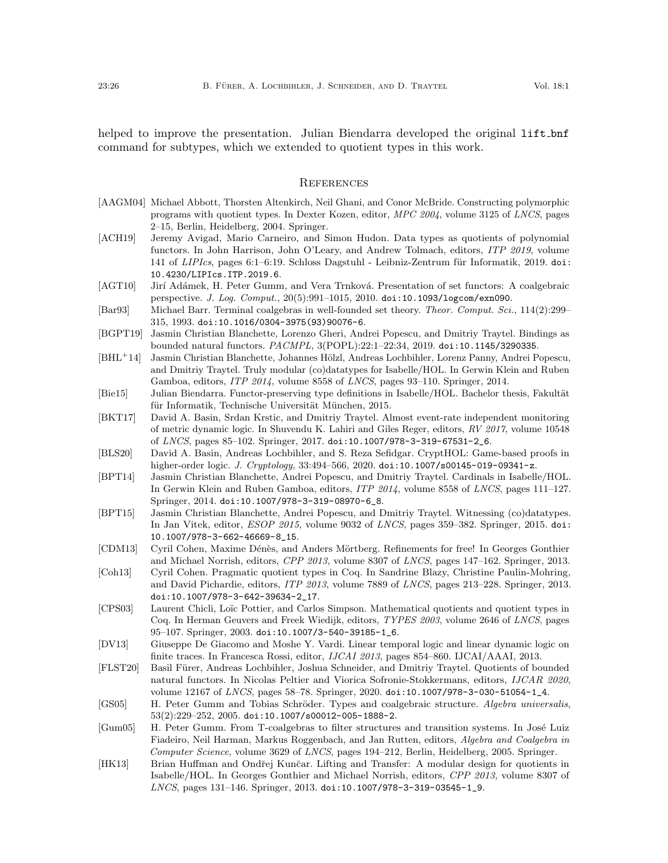helped to improve the presentation. Julian Biendarra developed the original lift bnf command for subtypes, which we extended to quotient types in this work.

#### **REFERENCES**

- <span id="page-25-14"></span>[AAGM04] Michael Abbott, Thorsten Altenkirch, Neil Ghani, and Conor McBride. Constructing polymorphic programs with quotient types. In Dexter Kozen, editor, MPC 2004, volume 3125 of LNCS, pages 2–15, Berlin, Heidelberg, 2004. Springer.
- <span id="page-25-0"></span>[ACH19] Jeremy Avigad, Mario Carneiro, and Simon Hudon. Data types as quotients of polynomial functors. In John Harrison, John O'Leary, and Andrew Tolmach, editors, ITP 2019, volume 141 of LIPIcs, pages 6:1-6:19. Schloss Dagstuhl - Leibniz-Zentrum für Informatik, 2019. [doi:](https://doi.org/10.4230/LIPIcs.ITP.2019.6) [10.4230/LIPIcs.ITP.2019.6](https://doi.org/10.4230/LIPIcs.ITP.2019.6).
- <span id="page-25-6"></span>[AGT10] Jirí Adámek, H. Peter Gumm, and Vera Trnková. Presentation of set functors: A coalgebraic perspective. J. Log. Comput., 20(5):991–1015, 2010. [doi:10.1093/logcom/exn090](https://doi.org/10.1093/logcom/exn090).
- <span id="page-25-17"></span>[Bar93] Michael Barr. Terminal coalgebras in well-founded set theory. Theor. Comput. Sci., 114(2):299-315, 1993. [doi:10.1016/0304-3975\(93\)90076-6](https://doi.org/10.1016/0304-3975(93)90076-6).
- <span id="page-25-18"></span>[BGPT19] Jasmin Christian Blanchette, Lorenzo Gheri, Andrei Popescu, and Dmitriy Traytel. Bindings as bounded natural functors. PACMPL, 3(POPL):22:1–22:34, 2019. [doi:10.1145/3290335](https://doi.org/10.1145/3290335).
- <span id="page-25-1"></span>[BHL<sup>+</sup>14] Jasmin Christian Blanchette, Johannes Hölzl, Andreas Lochbihler, Lorenz Panny, Andrei Popescu, and Dmitriy Traytel. Truly modular (co)datatypes for Isabelle/HOL. In Gerwin Klein and Ruben Gamboa, editors, ITP 2014, volume 8558 of LNCS, pages 93–110. Springer, 2014.
- <span id="page-25-5"></span>[Bie15] Julian Biendarra. Functor-preserving type definitions in Isabelle/HOL. Bachelor thesis, Fakultät für Informatik, Technische Universität München, 2015.
- <span id="page-25-8"></span>[BKT17] David A. Basin, Srdan Krstic, and Dmitriy Traytel. Almost event-rate independent monitoring of metric dynamic logic. In Shuvendu K. Lahiri and Giles Reger, editors, RV 2017, volume 10548 of LNCS, pages 85–102. Springer, 2017. [doi:10.1007/978-3-319-67531-2\\_6](https://doi.org/10.1007/978-3-319-67531-2_6).
- <span id="page-25-4"></span>[BLS20] David A. Basin, Andreas Lochbihler, and S. Reza Sefidgar. CryptHOL: Game-based proofs in higher-order logic. J. Cryptology, 33:494-566, 2020. [doi:10.1007/s00145-019-09341-z](https://doi.org/10.1007/s00145-019-09341-z).
- <span id="page-25-11"></span>[BPT14] Jasmin Christian Blanchette, Andrei Popescu, and Dmitriy Traytel. Cardinals in Isabelle/HOL. In Gerwin Klein and Ruben Gamboa, editors, ITP 2014, volume 8558 of LNCS, pages 111–127. Springer, 2014. [doi:10.1007/978-3-319-08970-6\\_8](https://doi.org/10.1007/978-3-319-08970-6_8).
- <span id="page-25-10"></span>[BPT15] Jasmin Christian Blanchette, Andrei Popescu, and Dmitriy Traytel. Witnessing (co)datatypes. In Jan Vitek, editor, ESOP 2015, volume 9032 of LNCS, pages 359–382. Springer, 2015. [doi:](https://doi.org/10.1007/978-3-662-46669-8_15) [10.1007/978-3-662-46669-8\\_15](https://doi.org/10.1007/978-3-662-46669-8_15).
- <span id="page-25-2"></span>[CDM13] Cyril Cohen, Maxime Dénès, and Anders Mörtberg. Refinements for free! In Georges Gonthier and Michael Norrish, editors, CPP 2013, volume 8307 of LNCS, pages 147–162. Springer, 2013.
- <span id="page-25-15"></span>[Coh13] Cyril Cohen. Pragmatic quotient types in Coq. In Sandrine Blazy, Christine Paulin-Mohring, and David Pichardie, editors, ITP 2013, volume 7889 of LNCS, pages 213–228. Springer, 2013. [doi:10.1007/978-3-642-39634-2\\_17](https://doi.org/10.1007/978-3-642-39634-2_17).
- <span id="page-25-16"></span>[CPS03] Laurent Chicli, Loïc Pottier, and Carlos Simpson. Mathematical quotients and quotient types in Coq. In Herman Geuvers and Freek Wiedijk, editors, TYPES 2003, volume 2646 of LNCS, pages 95–107. Springer, 2003. [doi:10.1007/3-540-39185-1\\_6](https://doi.org/10.1007/3-540-39185-1_6).
- <span id="page-25-7"></span>[DV13] Giuseppe De Giacomo and Moshe Y. Vardi. Linear temporal logic and linear dynamic logic on finite traces. In Francesca Rossi, editor, IJCAI 2013, pages 854–860. IJCAI/AAAI, 2013.
- <span id="page-25-9"></span>[FLST20] Basil Fürer, Andreas Lochbihler, Joshua Schneider, and Dmitriy Traytel. Quotients of bounded natural functors. In Nicolas Peltier and Viorica Sofronie-Stokkermans, editors, IJCAR 2020, volume 12167 of LNCS, pages 58–78. Springer, 2020. [doi:10.1007/978-3-030-51054-1\\_4](https://doi.org/10.1007/978-3-030-51054-1_4).
- <span id="page-25-13"></span>[GS05] H. Peter Gumm and Tobias Schröder. Types and coalgebraic structure. Algebra universalis, 53(2):229–252, 2005. [doi:10.1007/s00012-005-1888-2](https://doi.org/10.1007/s00012-005-1888-2).
- <span id="page-25-12"></span>[Gum05] H. Peter Gumm. From T-coalgebras to filter structures and transition systems. In José Luiz Fiadeiro, Neil Harman, Markus Roggenbach, and Jan Rutten, editors, Algebra and Coalgebra in Computer Science, volume 3629 of LNCS, pages 194–212, Berlin, Heidelberg, 2005. Springer.
- <span id="page-25-3"></span>[HK13] Brian Huffman and Ondřej Kunčar. Lifting and Transfer: A modular design for quotients in Isabelle/HOL. In Georges Gonthier and Michael Norrish, editors, CPP 2013, volume 8307 of LNCS, pages 131–146. Springer, 2013. [doi:10.1007/978-3-319-03545-1\\_9](https://doi.org/10.1007/978-3-319-03545-1_9).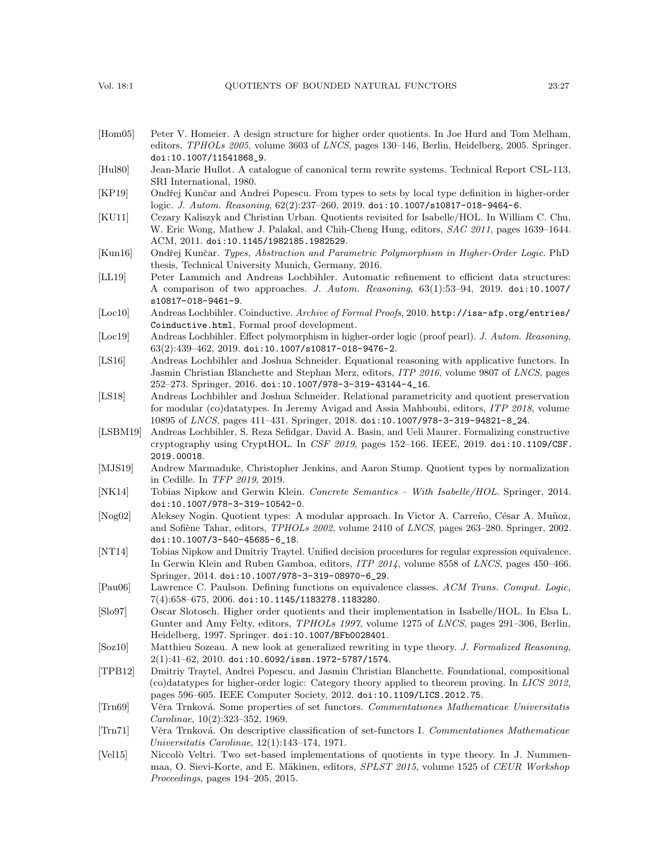- <span id="page-26-9"></span>[Hom05] Peter V. Homeier. A design structure for higher order quotients. In Joe Hurd and Tom Melham, editors, TPHOLs 2005, volume 3603 of LNCS, pages 130–146, Berlin, Heidelberg, 2005. Springer. [doi:10.1007/11541868\\_9](https://doi.org/10.1007/11541868_9).
- <span id="page-26-17"></span>[Hul80] Jean-Marie Hullot. A catalogue of canonical term rewrite systems. Technical Report CSL-113, SRI International, 1980.
- <span id="page-26-3"></span>[KP19] Ondřej Kunčar and Andrei Popescu. From types to sets by local type definition in higher-order logic. J. Autom. Reasoning, 62(2):237-260, 2019. [doi:10.1007/s10817-018-9464-6](https://doi.org/10.1007/s10817-018-9464-6).
- <span id="page-26-10"></span>[KU11] Cezary Kaliszyk and Christian Urban. Quotients revisited for Isabelle/HOL. In William C. Chu, W. Eric Wong, Mathew J. Palakal, and Chih-Cheng Hung, editors,  $SAC$  2011, pages 1639–1644. ACM, 2011. [doi:10.1145/1982185.1982529](https://doi.org/10.1145/1982185.1982529).
- <span id="page-26-7"></span>[Kun16] Ondřej Kunčar. Types, Abstraction and Parametric Polymorphism in Higher-Order Logic. PhD thesis, Technical University Munich, Germany, 2016.
- <span id="page-26-1"></span>[LL19] Peter Lammich and Andreas Lochbihler. Automatic refinement to efficient data structures: A comparison of two approaches. J. Autom. Reasoning, 63(1):53–94, 2019. [doi:10.1007/](https://doi.org/10.1007/s10817-018-9461-9) [s10817-018-9461-9](https://doi.org/10.1007/s10817-018-9461-9).
- <span id="page-26-16"></span>[Loc10] Andreas Lochbihler. Coinductive. Archive of Formal Proofs, 2010. [http://isa-afp.org/entries/](http://isa-afp.org/entries/Coinductive.html) [Coinductive.html](http://isa-afp.org/entries/Coinductive.html), Formal proof development.
- <span id="page-26-4"></span>[Loc19] Andreas Lochbihler. Effect polymorphism in higher-order logic (proof pearl). J. Autom. Reasoning, 63(2):439–462, 2019. [doi:10.1007/s10817-018-9476-2](https://doi.org/10.1007/s10817-018-9476-2).
- <span id="page-26-5"></span>[LS16] Andreas Lochbihler and Joshua Schneider. Equational reasoning with applicative functors. In Jasmin Christian Blanchette and Stephan Merz, editors, ITP 2016, volume 9807 of LNCS, pages 252–273. Springer, 2016. [doi:10.1007/978-3-319-43144-4\\_16](https://doi.org/10.1007/978-3-319-43144-4_16).
- <span id="page-26-8"></span>[LS18] Andreas Lochbihler and Joshua Schneider. Relational parametricity and quotient preservation for modular (co)datatypes. In Jeremy Avigad and Assia Mahboubi, editors, ITP 2018, volume 10895 of LNCS, pages 411–431. Springer, 2018. [doi:10.1007/978-3-319-94821-8\\_24](https://doi.org/10.1007/978-3-319-94821-8_24).
- <span id="page-26-6"></span>[LSBM19] Andreas Lochbihler, S. Reza Sefidgar, David A. Basin, and Ueli Maurer. Formalizing constructive cryptography using CryptHOL. In CSF 2019, pages 152–166. IEEE, 2019. [doi:10.1109/CSF.](https://doi.org/10.1109/CSF.2019.00018) [2019.00018](https://doi.org/10.1109/CSF.2019.00018).
- <span id="page-26-19"></span>[MJS19] Andrew Marmaduke, Christopher Jenkins, and Aaron Stump. Quotient types by normalization in Cedille. In TFP 2019, 2019.
- <span id="page-26-14"></span>[NK14] Tobias Nipkow and Gerwin Klein. Concrete Semantics – With Isabelle/HOL. Springer, 2014. [doi:10.1007/978-3-319-10542-0](https://doi.org/10.1007/978-3-319-10542-0).
- <span id="page-26-20"></span>[Nog02] Aleksey Nogin. Quotient types: A modular approach. In Victor A. Carreño, César A. Muñoz, and Sofiène Tahar, editors, *TPHOLs 2002*, volume 2410 of *LNCS*, pages 263–280. Springer, 2002. [doi:10.1007/3-540-45685-6\\_18](https://doi.org/10.1007/3-540-45685-6_18).
- <span id="page-26-13"></span>[NT14] Tobias Nipkow and Dmitriy Traytel. Unified decision procedures for regular expression equivalence. In Gerwin Klein and Ruben Gamboa, editors, ITP 2014, volume 8558 of LNCS, pages 450–466. Springer, 2014. [doi:10.1007/978-3-319-08970-6\\_29](https://doi.org/10.1007/978-3-319-08970-6_29).
- <span id="page-26-11"></span>[Pau06] Lawrence C. Paulson. Defining functions on equivalence classes. ACM Trans. Comput. Logic, 7(4):658–675, 2006. [doi:10.1145/1183278.1183280](https://doi.org/10.1145/1183278.1183280).
- <span id="page-26-12"></span>[Slo97] Oscar Slotosch. Higher order quotients and their implementation in Isabelle/HOL. In Elsa L. Gunter and Amy Felty, editors, TPHOLs 1997, volume 1275 of LNCS, pages 291-306, Berlin, Heidelberg, 1997. Springer. [doi:10.1007/BFb0028401](https://doi.org/10.1007/BFb0028401).
- <span id="page-26-2"></span>[Soz10] Matthieu Sozeau. A new look at generalized rewriting in type theory. J. Formalized Reasoning, 2(1):41–62, 2010. [doi:10.6092/issn.1972-5787/1574](https://doi.org/10.6092/issn.1972-5787/1574).
- <span id="page-26-0"></span>[TPB12] Dmitriy Traytel, Andrei Popescu, and Jasmin Christian Blanchette. Foundational, compositional (co)datatypes for higher-order logic: Category theory applied to theorem proving. In LICS 2012, pages 596–605. IEEE Computer Society, 2012. [doi:10.1109/LICS.2012.75](https://doi.org/10.1109/LICS.2012.75).
- <span id="page-26-15"></span>[Trn69] Věra Trnková. Some properties of set functors. Commentationes Mathematicae Universitatis Carolinae, 10(2):323–352, 1969.
- <span id="page-26-21"></span>[Trn71] Věra Trnková. On descriptive classification of set-functors I. Commentationes Mathematicae Universitatis Carolinae, 12(1):143–174, 1971.
- <span id="page-26-18"></span>[Vel15] Niccolò Veltri. Two set-based implementations of quotients in type theory. In J. Nummenmaa, O. Sievi-Korte, and E. Mäkinen, editors, SPLST 2015, volume 1525 of CEUR Workshop Proceedings, pages 194–205, 2015.